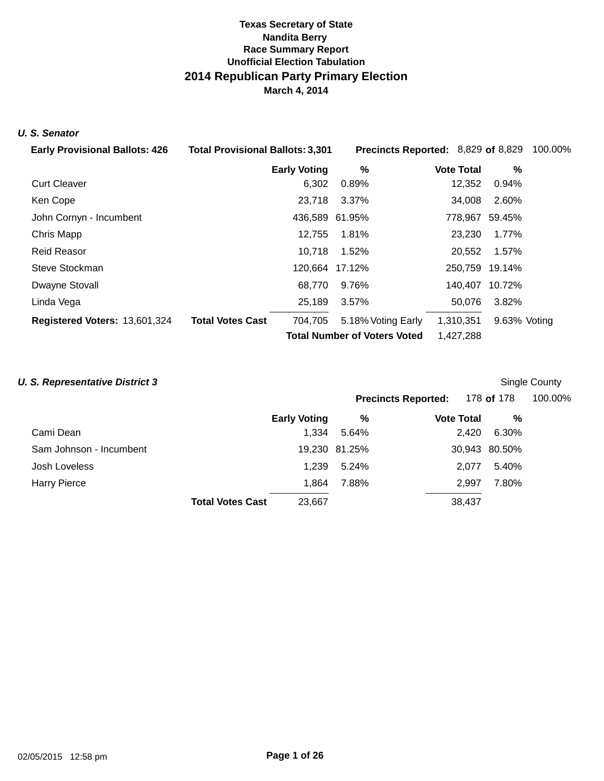## **Texas Secretary of State Nandita Berry Unofficial Election Tabulation 2014 Republican Party Primary Election March 4, 2014 Race Summary Report**

#### **U. S. Senator**

| <b>Early Provisional Ballots: 426</b> | <b>Total Provisional Ballots: 3,301</b> | Precincts Reported: 8,829 of 8,829  |                   |                | 100.00% |
|---------------------------------------|-----------------------------------------|-------------------------------------|-------------------|----------------|---------|
|                                       | <b>Early Voting</b>                     | %                                   | <b>Vote Total</b> | $\%$           |         |
| <b>Curt Cleaver</b>                   | 6,302                                   | 0.89%                               | 12,352            | 0.94%          |         |
| Ken Cope                              | 23,718                                  | 3.37%                               | 34,008            | 2.60%          |         |
| John Cornyn - Incumbent               |                                         | 436,589 61.95%                      |                   | 778,967 59.45% |         |
| Chris Mapp                            | 12,755                                  | 1.81%                               | 23,230            | 1.77%          |         |
| <b>Reid Reasor</b>                    | 10,718                                  | 1.52%                               | 20,552            | 1.57%          |         |
| Steve Stockman                        |                                         | 120.664 17.12%                      |                   | 250,759 19.14% |         |
| Dwayne Stovall                        | 68,770                                  | 9.76%                               |                   | 140,407 10.72% |         |
| Linda Vega                            | 25,189                                  | 3.57%                               | 50.076            | 3.82%          |         |
| Registered Voters: 13,601,324         | <b>Total Votes Cast</b><br>704,705      | 5.18% Voting Early                  | 1,310,351         | 9.63% Voting   |         |
|                                       |                                         | <b>Total Number of Voters Voted</b> |                   |                |         |

| <b>U. S. Representative District 3</b> |                                   |               |                   |               | Single County |
|----------------------------------------|-----------------------------------|---------------|-------------------|---------------|---------------|
|                                        | <b>Precincts Reported:</b>        |               |                   | 178 of 178    | 100.00%       |
|                                        | <b>Early Voting</b>               | %             | <b>Vote Total</b> | %             |               |
| Cami Dean                              | 1,334                             | 5.64%         | 2,420             | 6.30%         |               |
| Sam Johnson - Incumbent                |                                   | 19,230 81.25% |                   | 30,943 80.50% |               |
| Josh Loveless                          | 1.239                             | 5.24%         | 2.077             | 5.40%         |               |
| <b>Harry Pierce</b>                    | 1,864                             | 7.88%         | 2.997             | 7.80%         |               |
|                                        | <b>Total Votes Cast</b><br>23,667 |               | 38,437            |               |               |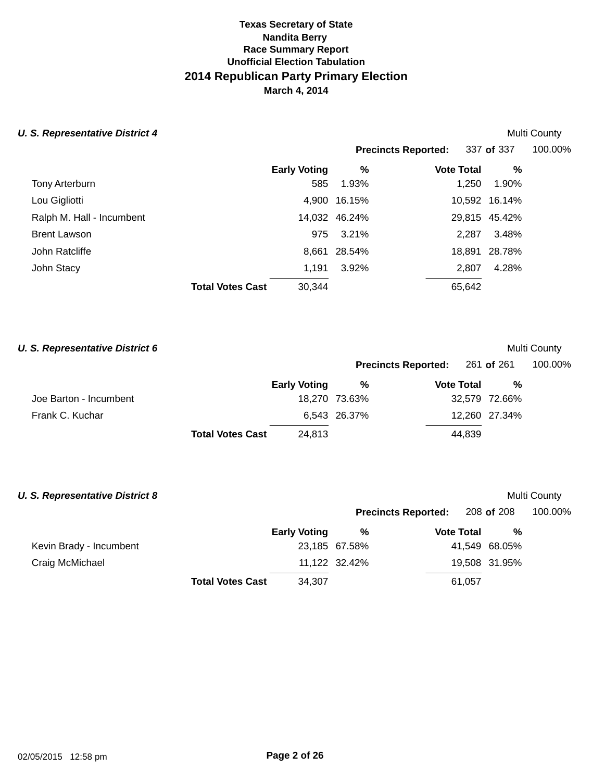| <b>U. S. Representative District 4</b> |                                   |               |                            |                   |               | Multi County |
|----------------------------------------|-----------------------------------|---------------|----------------------------|-------------------|---------------|--------------|
|                                        |                                   |               | <b>Precincts Reported:</b> |                   | 337 of 337    | 100.00%      |
|                                        | <b>Early Voting</b>               |               | %                          | <b>Vote Total</b> | %             |              |
| Tony Arterburn                         |                                   | 585<br>1.93%  |                            | 1.250             | 1.90%         |              |
| Lou Gigliotti                          | 4.900                             | 16.15%        |                            |                   | 10,592 16.14% |              |
| Ralph M. Hall - Incumbent              |                                   | 14,032 46.24% |                            |                   | 29,815 45.42% |              |
| <b>Brent Lawson</b>                    |                                   | 975<br>3.21%  |                            | 2.287             | 3.48%         |              |
| John Ratcliffe                         | 8,661                             | 28.54%        |                            | 18.891            | 28.78%        |              |
| John Stacy                             | 1,191                             | 3.92%         |                            | 2,807             | 4.28%         |              |
|                                        | 30,344<br><b>Total Votes Cast</b> |               |                            | 65,642            |               |              |

| U. S. Representative District 6 |                                   |               |                            |               | Multi County |
|---------------------------------|-----------------------------------|---------------|----------------------------|---------------|--------------|
|                                 |                                   |               | <b>Precincts Reported:</b> | 261 of 261    | 100.00%      |
|                                 | <b>Early Voting</b>               | %             | <b>Vote Total</b>          | %             |              |
| Joe Barton - Incumbent          |                                   | 18,270 73.63% |                            | 32,579 72.66% |              |
| Frank C. Kuchar                 |                                   | 6,543 26.37%  |                            | 12,260 27.34% |              |
|                                 | <b>Total Votes Cast</b><br>24,813 |               | 44,839                     |               |              |

| <b>U. S. Representative District 8</b> |                                   |               |                            |               | Multi County |
|----------------------------------------|-----------------------------------|---------------|----------------------------|---------------|--------------|
|                                        |                                   |               | <b>Precincts Reported:</b> | 208 of 208    | 100.00%      |
|                                        | <b>Early Voting</b>               | %             | <b>Vote Total</b>          | %             |              |
| Kevin Brady - Incumbent                |                                   | 23,185 67.58% |                            | 41,549 68.05% |              |
| Craig McMichael                        |                                   | 11,122 32.42% |                            | 19,508 31.95% |              |
|                                        | 34,307<br><b>Total Votes Cast</b> |               | 61,057                     |               |              |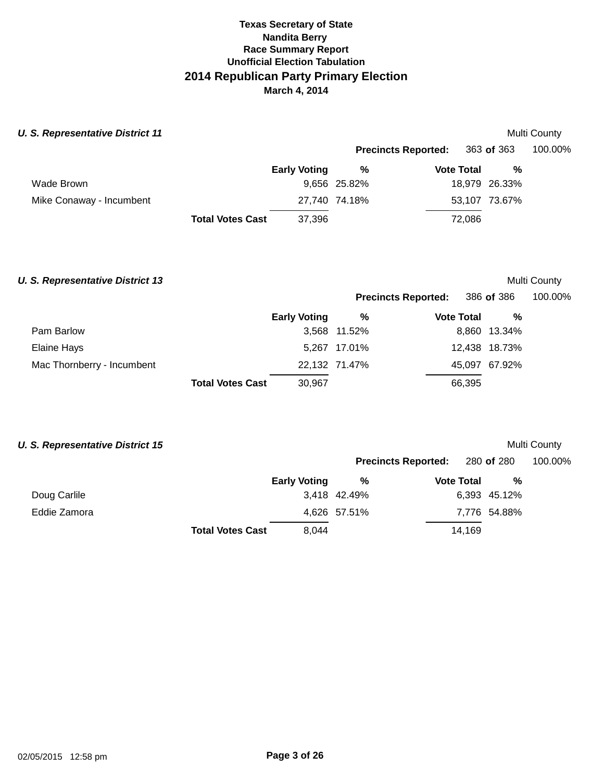| <b>U. S. Representative District 11</b> |                         |                     |                            |                   |               | Multi County |
|-----------------------------------------|-------------------------|---------------------|----------------------------|-------------------|---------------|--------------|
|                                         |                         |                     | <b>Precincts Reported:</b> |                   | 363 of 363    | 100.00%      |
|                                         |                         | <b>Early Voting</b> | %                          | <b>Vote Total</b> | %             |              |
| Wade Brown                              |                         |                     | 9,656 25.82%               |                   | 18,979 26.33% |              |
| Mike Conaway - Incumbent                |                         |                     | 27.740 74.18%              |                   | 53,107 73.67% |              |
|                                         | <b>Total Votes Cast</b> | 37,396              |                            | 72,086            |               |              |

## **U. S. Representative District 13 Multi County Multi County Multi County**

| <b>Precincts Reported:</b> | 386 of 386 | 100.00% |
|----------------------------|------------|---------|
|----------------------------|------------|---------|

|                            |                         | <b>Early Voting</b> | %             | <b>Vote Total</b> | %             |  |
|----------------------------|-------------------------|---------------------|---------------|-------------------|---------------|--|
| Pam Barlow                 |                         |                     | 3,568 11.52%  |                   | 8,860 13.34%  |  |
| Elaine Hays                |                         |                     | 5,267 17.01%  |                   | 12,438 18.73% |  |
| Mac Thornberry - Incumbent |                         |                     | 22,132 71.47% |                   | 45,097 67.92% |  |
|                            | <b>Total Votes Cast</b> | 30,967              |               | 66,395            |               |  |

## **U. S. Representative District 15 Multi County Multi County Multi County**

|              |                         |                     |              | <b>Precincts Reported:</b> | 280 <b>of</b> 280 | 100.00% |  |
|--------------|-------------------------|---------------------|--------------|----------------------------|-------------------|---------|--|
|              |                         | <b>Early Voting</b> | %            | <b>Vote Total</b>          | %                 |         |  |
| Doug Carlile |                         |                     | 3,418 42.49% |                            | 6,393 45.12%      |         |  |
| Eddie Zamora |                         |                     | 4,626 57.51% |                            | 7,776 54.88%      |         |  |
|              | <b>Total Votes Cast</b> | 8.044               |              | 14.169                     |                   |         |  |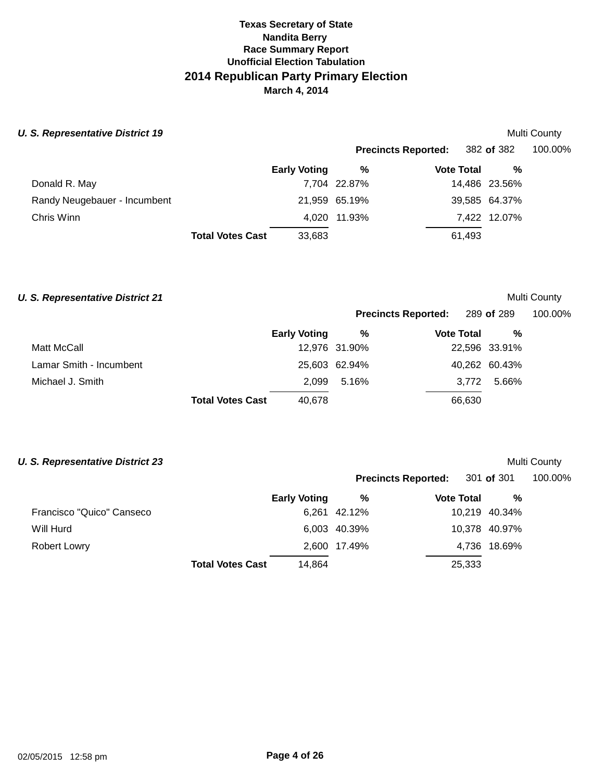#### **U. S. Representative District 19**

|                              |                         |                     | <b>Precincts Reported:</b> 382 of 382 |                   |        |               | 100.00% |
|------------------------------|-------------------------|---------------------|---------------------------------------|-------------------|--------|---------------|---------|
|                              |                         | <b>Early Voting</b> | %                                     | <b>Vote Total</b> |        | %             |         |
| Donald R. May                |                         |                     | 7,704 22.87%                          |                   |        | 14,486 23.56% |         |
| Randy Neugebauer - Incumbent |                         |                     | 21,959 65.19%                         |                   |        | 39,585 64.37% |         |
| Chris Winn                   |                         |                     | 4,020 11.93%                          |                   |        | 7,422 12.07%  |         |
|                              | <b>Total Votes Cast</b> | 33,683              |                                       |                   | 61.493 |               |         |

#### **U. S. Representative District 21 Multi County Multi County Multi County**

|                         |                         |                     |               | <b>Precincts Reported:</b> 289 of 289 |                   |               | 100.00% |  |
|-------------------------|-------------------------|---------------------|---------------|---------------------------------------|-------------------|---------------|---------|--|
|                         |                         | <b>Early Voting</b> | %             |                                       | <b>Vote Total</b> | %             |         |  |
| Matt McCall             |                         |                     | 12,976 31.90% |                                       |                   | 22,596 33.91% |         |  |
| Lamar Smith - Incumbent |                         |                     | 25,603 62.94% |                                       |                   | 40,262 60.43% |         |  |
| Michael J. Smith        |                         | 2.099               | 5.16%         |                                       | 3.772             | 5.66%         |         |  |
|                         | <b>Total Votes Cast</b> | 40.678              |               |                                       | 66,630            |               |         |  |

### **U. S. Representative District 23 Multi County Multi County Multi County**

|                           |                                   |              | <b>Precincts Reported:</b> 301 of 301 |               | 100.00% |
|---------------------------|-----------------------------------|--------------|---------------------------------------|---------------|---------|
|                           | <b>Early Voting</b>               | %            | <b>Vote Total</b>                     | %             |         |
| Francisco "Quico" Canseco |                                   | 6,261 42.12% |                                       | 10,219 40.34% |         |
| Will Hurd                 |                                   | 6,003 40.39% |                                       | 10,378 40.97% |         |
| <b>Robert Lowry</b>       |                                   | 2,600 17.49% |                                       | 4,736 18.69%  |         |
|                           | 14,864<br><b>Total Votes Cast</b> |              | 25,333                                |               |         |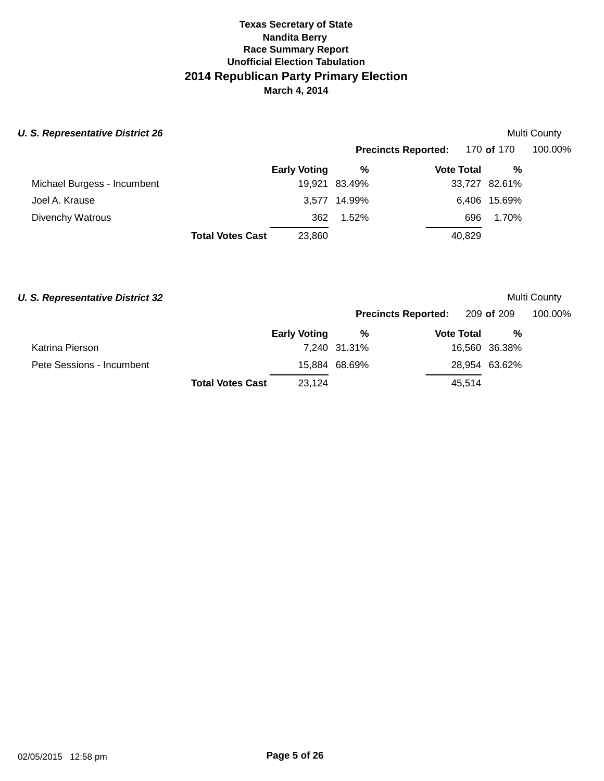| <b>U. S. Representative District 26</b> |                         |                     |               |                            |               | Multi County |
|-----------------------------------------|-------------------------|---------------------|---------------|----------------------------|---------------|--------------|
|                                         |                         |                     |               | <b>Precincts Reported:</b> | 170 of 170    | 100.00%      |
|                                         |                         | <b>Early Voting</b> | %             | <b>Vote Total</b>          | %             |              |
| Michael Burgess - Incumbent             |                         |                     | 19,921 83.49% |                            | 33,727 82.61% |              |
| Joel A. Krause                          |                         |                     | 3,577 14.99%  |                            | 6,406 15.69%  |              |
| Divenchy Watrous                        |                         | 362                 | $1.52\%$      | 696                        | 1.70%         |              |
|                                         | <b>Total Votes Cast</b> | 23,860              |               | 40,829                     |               |              |

#### **U. S. Representative District 32 Multi County Multi County Multi County**

Pete

|                           |                         |                     |               | Precincts Reported: 209 of 209 |        |               | 100.00% |  |
|---------------------------|-------------------------|---------------------|---------------|--------------------------------|--------|---------------|---------|--|
|                           |                         | <b>Early Voting</b> | %             | <b>Vote Total</b>              |        | %             |         |  |
| Katrina Pierson           |                         |                     | 7,240 31.31%  |                                |        | 16,560 36.38% |         |  |
| Pete Sessions - Incumbent |                         |                     | 15,884 68.69% |                                |        | 28,954 63.62% |         |  |
|                           | <b>Total Votes Cast</b> | 23,124              |               |                                | 45.514 |               |         |  |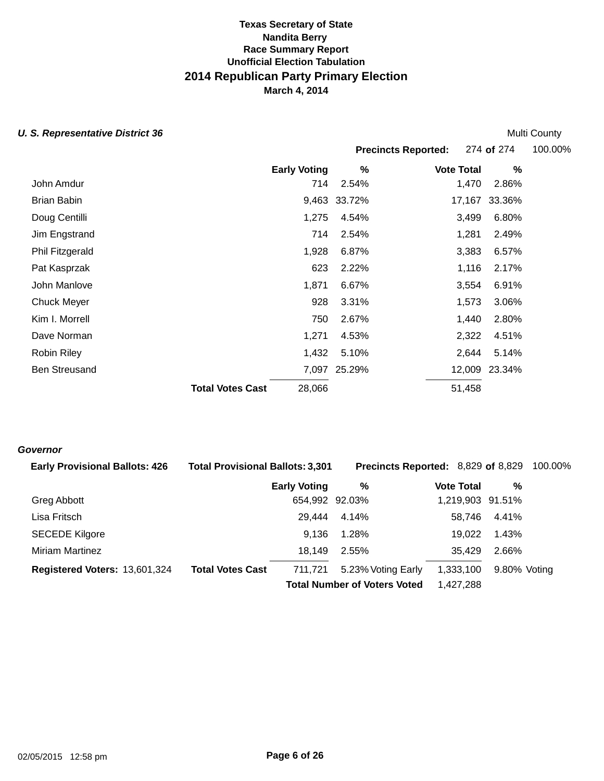#### **U. S. Representative District 36** *U. S. Representative District 36*

**Precincts Reported:** 274 **of** 274 100.00% **Early Voting % Vote Total %**  John Amdur 714 2.54% 1,470 2.86% Brian Babin 9,463 33.72% 17,167 33.36% Doug Centilli 1,275 4.54% 3,499 6.80% Jim Engstrand 714 2.54% 1,281 2.49% Phil Fitzgerald 2,383 6.57% 3,383 6.57% Pat Kasprzak 623 2.22% 1,116 2.17% John Manlove 1,871 6.67% 3,554 6.91% Chuck Meyer 928 3.31% 1,573 3.06% Kim I. Morrell 750 2.67% 1,440 2.80% Dave Norman 1,271 4.53% 2,322 4.51% Robin Riley 2,644 5.14% Ben Streusand **Total Votes Cast**  7,097 25.29% 28,066 25.29% 12,009 23.34% 51,458

#### **Governor**

| <b>Early Provisional Ballots: 426</b> | <b>Total Provisional Ballots: 3,301</b> |                     | Precincts Reported: 8,829 of 8,829  |                   |              | 100.00% |
|---------------------------------------|-----------------------------------------|---------------------|-------------------------------------|-------------------|--------------|---------|
|                                       |                                         | <b>Early Voting</b> | %                                   | <b>Vote Total</b> | %            |         |
| Greg Abbott                           |                                         | 654,992 92.03%      |                                     | 1,219,903 91.51%  |              |         |
| Lisa Fritsch                          |                                         | 29.444              | 4.14%                               | 58.746            | 4.41%        |         |
| <b>SECEDE Kilgore</b>                 |                                         | 9,136               | 1.28%                               | 19.022            | 1.43%        |         |
| <b>Miriam Martinez</b>                |                                         | 18,149              | 2.55%                               | 35.429            | 2.66%        |         |
| Registered Voters: 13,601,324         | <b>Total Votes Cast</b>                 | 711.721             | 5.23% Voting Early                  | 1,333,100         | 9.80% Voting |         |
|                                       |                                         |                     | <b>Total Number of Voters Voted</b> | 1,427,288         |              |         |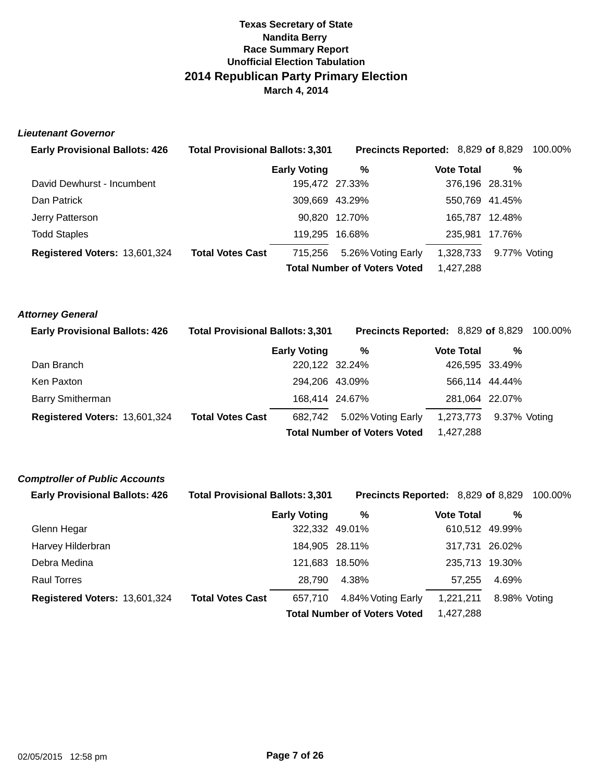#### **Lieutenant Governor**

| <b>Early Provisional Ballots: 426</b> | <b>Total Provisional Ballots: 3,301</b> |                     | <b>Precincts Reported: 8,829 of 8,829 100.00%</b> |                   |                |  |
|---------------------------------------|-----------------------------------------|---------------------|---------------------------------------------------|-------------------|----------------|--|
|                                       |                                         | <b>Early Voting</b> | %                                                 | <b>Vote Total</b> | %              |  |
| David Dewhurst - Incumbent            |                                         | 195,472 27.33%      |                                                   |                   | 376,196 28.31% |  |
| Dan Patrick                           |                                         | 309,669 43.29%      |                                                   |                   | 550,769 41.45% |  |
| Jerry Patterson                       |                                         |                     | 90.820 12.70%                                     |                   | 165.787 12.48% |  |
| <b>Todd Staples</b>                   |                                         | 119,295 16.68%      |                                                   |                   | 235,981 17.76% |  |
| Registered Voters: 13,601,324         | <b>Total Votes Cast</b>                 | 715.256             | 5.26% Voting Early                                | 1,328,733         | 9.77% Voting   |  |
|                                       |                                         |                     | <b>Total Number of Voters Voted</b>               | 1.427.288         |                |  |

#### **Attorney General**

| <b>Early Provisional Ballots: 426</b> | <b>Total Provisional Ballots: 3,301</b> |                     |                                     | <b>Precincts Reported: 8,829 of 8,829 100.00%</b> |                |  |
|---------------------------------------|-----------------------------------------|---------------------|-------------------------------------|---------------------------------------------------|----------------|--|
|                                       |                                         | <b>Early Voting</b> | %                                   | Vote Total                                        | %              |  |
| Dan Branch                            |                                         | 220,122 32.24%      |                                     |                                                   | 426,595 33.49% |  |
| Ken Paxton                            |                                         | 294.206 43.09%      |                                     |                                                   | 566,114 44.44% |  |
| <b>Barry Smitherman</b>               |                                         | 168,414 24.67%      |                                     |                                                   | 281,064 22.07% |  |
| Registered Voters: 13,601,324         | <b>Total Votes Cast</b>                 | 682.742             | 5.02% Voting Early                  | 1,273,773                                         | 9.37% Votina   |  |
|                                       |                                         |                     | <b>Total Number of Voters Voted</b> | 1,427,288                                         |                |  |

#### **Comptroller of Public Accounts**

| <b>Early Provisional Ballots: 426</b> | <b>Total Provisional Ballots: 3,301</b> |                     | Precincts Reported: 8,829 of 8,829  |                   |                | 100.00% |
|---------------------------------------|-----------------------------------------|---------------------|-------------------------------------|-------------------|----------------|---------|
|                                       |                                         | <b>Early Voting</b> | %                                   | <b>Vote Total</b> | %              |         |
| Glenn Hegar                           |                                         | 322,332 49.01%      |                                     |                   | 610,512 49.99% |         |
| Harvey Hilderbran                     |                                         | 184,905 28.11%      |                                     |                   | 317,731 26.02% |         |
| Debra Medina                          |                                         | 121,683 18.50%      |                                     |                   | 235.713 19.30% |         |
| <b>Raul Torres</b>                    |                                         | 28.790              | 4.38%                               | 57.255            | 4.69%          |         |
| Registered Voters: 13,601,324         | <b>Total Votes Cast</b>                 | 657.710             | 4.84% Voting Early                  | 1.221.211         | 8.98% Voting   |         |
|                                       |                                         |                     | <b>Total Number of Voters Voted</b> | 1,427,288         |                |         |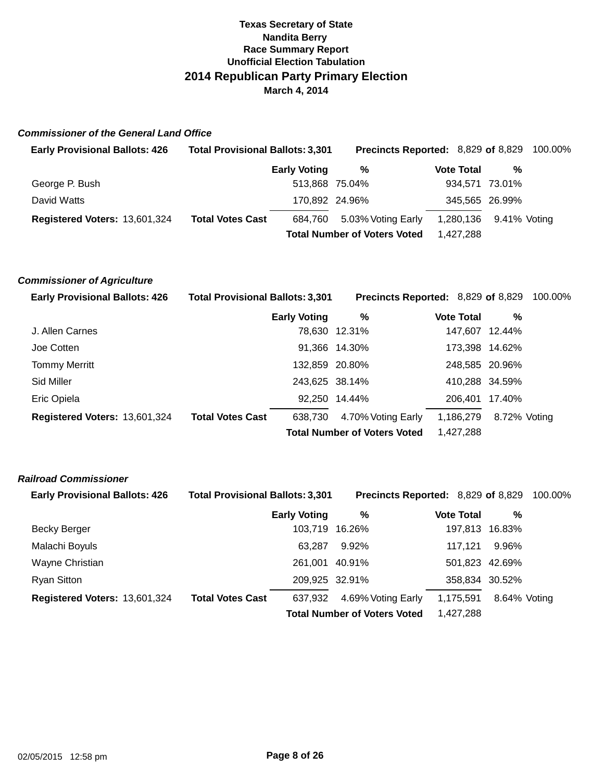### **Commissioner of the General Land Office**

| <b>Early Provisional Ballots: 426</b> | <b>Total Provisional Ballots: 3,301</b> |                     | <b>Precincts Reported: 8,829 of 8,829 100.00%</b> |                   |                        |  |
|---------------------------------------|-----------------------------------------|---------------------|---------------------------------------------------|-------------------|------------------------|--|
|                                       |                                         | <b>Early Voting</b> | %                                                 | <b>Vote Total</b> | %                      |  |
| George P. Bush                        |                                         | 513,868 75.04%      |                                                   |                   | 934,571 73.01%         |  |
| David Watts                           |                                         | 170,892 24.96%      |                                                   |                   | 345,565 26.99%         |  |
| Registered Voters: 13,601,324         | <b>Total Votes Cast</b>                 | 684.760             | 5.03% Voting Early                                |                   | 1,280,136 9.41% Voting |  |
|                                       |                                         |                     | <b>Total Number of Voters Voted</b>               | 1.427.288         |                        |  |

#### **Commissioner of Agriculture**

| <b>Early Provisional Ballots: 426</b> | <b>Total Provisional Ballots: 3,301</b> |                                     | <b>Precincts Reported: 8,829 of 8,829 100.00%</b> |                   |                |  |
|---------------------------------------|-----------------------------------------|-------------------------------------|---------------------------------------------------|-------------------|----------------|--|
|                                       |                                         | <b>Early Voting</b>                 | %                                                 | <b>Vote Total</b> | %              |  |
| J. Allen Carnes                       |                                         |                                     | 78,630 12.31%                                     |                   | 147,607 12.44% |  |
| Joe Cotten                            |                                         |                                     | 91,366 14.30%                                     |                   | 173,398 14.62% |  |
| <b>Tommy Merritt</b>                  |                                         | 132,859 20.80%                      |                                                   |                   | 248,585 20.96% |  |
| Sid Miller                            |                                         | 243,625 38.14%                      |                                                   | 410,288 34.59%    |                |  |
| Eric Opiela                           |                                         |                                     | 92,250 14.44%                                     |                   | 206.401 17.40% |  |
| Registered Voters: 13,601,324         | <b>Total Votes Cast</b>                 | 638.730                             | 4.70% Voting Early                                | 1,186,279         | 8.72% Voting   |  |
|                                       |                                         | <b>Total Number of Voters Voted</b> |                                                   | 1,427,288         |                |  |

### **Railroad Commissioner**

| <b>Early Provisional Ballots: 426</b> | <b>Total Provisional Ballots: 3,301</b> |                     | <b>Precincts Reported: 8,829 of 8,829</b> |                   |                | 100.00% |
|---------------------------------------|-----------------------------------------|---------------------|-------------------------------------------|-------------------|----------------|---------|
|                                       |                                         | <b>Early Voting</b> | %                                         | <b>Vote Total</b> | %              |         |
| Becky Berger                          |                                         | 103,719 16.26%      |                                           |                   | 197,813 16.83% |         |
| Malachi Boyuls                        |                                         | 63.287              | $9.92\%$                                  | 117.121           | 9.96%          |         |
| Wayne Christian                       |                                         | 261.001             | 40.91%                                    |                   | 501,823 42.69% |         |
| Ryan Sitton                           |                                         | 209,925 32.91%      |                                           |                   | 358,834 30.52% |         |
| Registered Voters: 13,601,324         | <b>Total Votes Cast</b>                 | 637.932             | 4.69% Voting Early                        | 1,175,591         | 8.64% Voting   |         |
|                                       |                                         |                     | <b>Total Number of Voters Voted</b>       | 1,427,288         |                |         |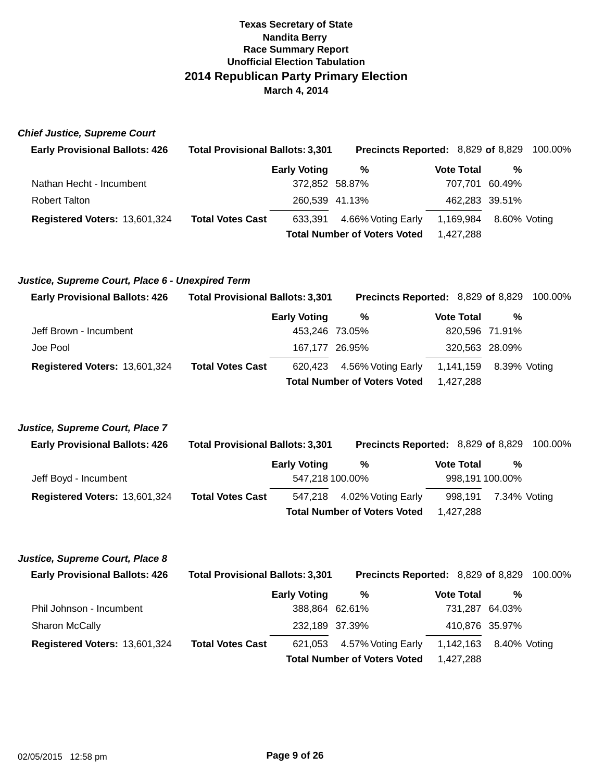**Chief Justice, Supreme Court** 

| <b>Early Provisional Ballots: 426</b> | <b>Total Provisional Ballots: 3,301</b> |                                     | <b>Precincts Reported: 8,829 of 8,829 100.00%</b> |                   |                |              |
|---------------------------------------|-----------------------------------------|-------------------------------------|---------------------------------------------------|-------------------|----------------|--------------|
|                                       |                                         | <b>Early Voting</b>                 | %                                                 | <b>Vote Total</b> |                | %            |
| Nathan Hecht - Incumbent              |                                         | 372.852 58.87%                      |                                                   |                   | 707.701 60.49% |              |
| <b>Robert Talton</b>                  |                                         |                                     | 260,539 41.13%                                    |                   | 462,283 39.51% |              |
| Registered Voters: 13,601,324         | <b>Total Votes Cast</b>                 | 633.391                             | 4.66% Voting Early                                | 1,169,984         |                | 8.60% Voting |
|                                       |                                         | <b>Total Number of Voters Voted</b> |                                                   |                   | 1.427.288      |              |

#### **Justice, Supreme Court, Place 6 - Unexpired Term**

| <b>Early Provisional Ballots: 426</b> | <b>Total Provisional Ballots: 3,301</b> |                     | <b>Precincts Reported: 8,829 of 8,829 100.00%</b> |                   |                        |  |
|---------------------------------------|-----------------------------------------|---------------------|---------------------------------------------------|-------------------|------------------------|--|
|                                       |                                         | <b>Early Voting</b> | %                                                 | <b>Vote Total</b> | %                      |  |
| Jeff Brown - Incumbent                |                                         | 453,246 73.05%      |                                                   |                   | 820,596 71.91%         |  |
| Joe Pool                              |                                         | 167,177 26.95%      |                                                   |                   | 320,563 28.09%         |  |
| Registered Voters: 13,601,324         | <b>Total Votes Cast</b>                 |                     | 620,423 4.56% Voting Early                        |                   | 1,141,159 8.39% Voting |  |
|                                       |                                         |                     | <b>Total Number of Voters Voted</b>               | 1.427.288         |                        |  |

#### **Justice, Supreme Court, Place 7**

| <b>Early Provisional Ballots: 426</b> | <b>Total Provisional Ballots: 3,301</b> |                     | <b>Precincts Reported: 8,829 of 8,829 100.00%</b> |                   |                 |  |
|---------------------------------------|-----------------------------------------|---------------------|---------------------------------------------------|-------------------|-----------------|--|
|                                       |                                         | <b>Early Voting</b> | %                                                 | <b>Vote Total</b> | %               |  |
| Jeff Boyd - Incumbent                 |                                         | 547,218 100.00%     |                                                   |                   | 998,191 100.00% |  |
| Registered Voters: 13,601,324         | <b>Total Votes Cast</b>                 |                     | 547,218 4.02% Voting Early                        | 998.191           | 7.34% Voting    |  |
|                                       |                                         |                     | <b>Total Number of Voters Voted</b>               | 1.427.288         |                 |  |

#### **Justice, Supreme Court, Place 8**

| <b>Early Provisional Ballots: 426</b> | <b>Total Provisional Ballots: 3,301</b> |                     | <b>Precincts Reported: 8,829 of 8,829 100.00%</b> |                   |                |  |
|---------------------------------------|-----------------------------------------|---------------------|---------------------------------------------------|-------------------|----------------|--|
|                                       |                                         | <b>Early Voting</b> | %                                                 | <b>Vote Total</b> | %              |  |
| Phil Johnson - Incumbent              |                                         | 388,864 62.61%      |                                                   |                   | 731,287 64.03% |  |
| Sharon McCally                        |                                         | 232,189 37.39%      |                                                   |                   | 410,876 35.97% |  |
| Registered Voters: 13,601,324         | <b>Total Votes Cast</b>                 |                     | 621,053 4.57% Voting Early                        | 1,142,163         | 8.40% Votina   |  |
|                                       |                                         |                     | <b>Total Number of Voters Voted</b>               | 1.427.288         |                |  |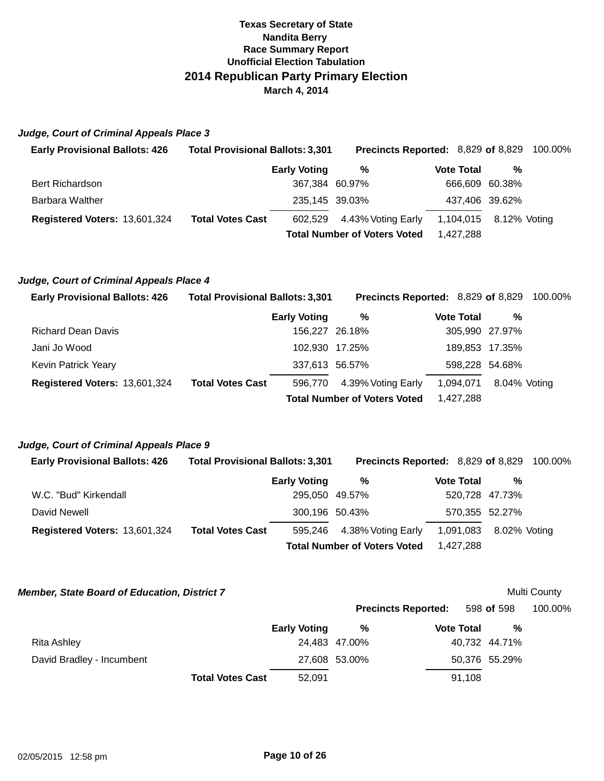#### **Judge, Court of Criminal Appeals Place 3**

| <b>Early Provisional Ballots: 426</b> | <b>Total Provisional Ballots: 3,301</b> |                     | <b>Precincts Reported: 8,829 of 8,829 100.00%</b> |                   |                        |  |
|---------------------------------------|-----------------------------------------|---------------------|---------------------------------------------------|-------------------|------------------------|--|
|                                       |                                         | <b>Early Voting</b> | %                                                 | <b>Vote Total</b> | %                      |  |
| <b>Bert Richardson</b>                |                                         | 367,384 60.97%      |                                                   |                   | 666,609 60.38%         |  |
| Barbara Walther                       |                                         | 235,145 39.03%      |                                                   |                   | 437,406 39.62%         |  |
| Registered Voters: 13,601,324         | <b>Total Votes Cast</b>                 |                     | 602,529 4.43% Voting Early                        |                   | 1,104,015 8.12% Voting |  |
|                                       |                                         |                     | <b>Total Number of Voters Voted</b>               | 1.427.288         |                        |  |

### **Judge, Court of Criminal Appeals Place 4**

| <b>Early Provisional Ballots: 426</b> | <b>Total Provisional Ballots: 3,301</b> |                     | <b>Precincts Reported: 8,829 of 8,829 100.00%</b> |                   |                |  |
|---------------------------------------|-----------------------------------------|---------------------|---------------------------------------------------|-------------------|----------------|--|
|                                       |                                         | <b>Early Voting</b> | %                                                 | <b>Vote Total</b> | %              |  |
| <b>Richard Dean Davis</b>             |                                         | 156.227 26.18%      |                                                   |                   | 305,990 27.97% |  |
| Jani Jo Wood                          |                                         | 102,930 17.25%      |                                                   |                   | 189,853 17.35% |  |
| Kevin Patrick Yeary                   |                                         | 337,613 56.57%      |                                                   |                   | 598,228 54.68% |  |
| Registered Voters: 13,601,324         | <b>Total Votes Cast</b>                 | 596,770             | 4.39% Voting Early                                | 1,094,071         | 8.04% Votina   |  |
|                                       |                                         |                     | <b>Total Number of Voters Voted</b>               | 1,427,288         |                |  |

#### **Judge, Court of Criminal Appeals Place 9**

| <b>Early Provisional Ballots: 426</b> | <b>Total Provisional Ballots: 3,301</b> |                     | <b>Precincts Reported: 8,829 of 8,829 100.00%</b> |                   |                |  |
|---------------------------------------|-----------------------------------------|---------------------|---------------------------------------------------|-------------------|----------------|--|
|                                       |                                         | <b>Early Voting</b> | %                                                 | <b>Vote Total</b> | %              |  |
| W.C. "Bud" Kirkendall                 |                                         | 295.050 49.57%      |                                                   |                   | 520,728 47.73% |  |
| David Newell                          |                                         | 300,196 50.43%      |                                                   |                   | 570,355 52.27% |  |
| Registered Voters: 13,601,324         | <b>Total Votes Cast</b>                 | 595.246             | 4.38% Voting Early                                | 1,091,083         | 8.02% Votina   |  |
|                                       |                                         |                     | <b>Total Number of Voters Voted</b>               | 1.427.288         |                |  |

 **Member, State Board of Education, District 7** 

Multi County

|                           |                         |                     | <b>Precincts Reported:</b> |                   | 598 of 598    | 100.00% |
|---------------------------|-------------------------|---------------------|----------------------------|-------------------|---------------|---------|
|                           |                         | <b>Early Voting</b> | ℅                          | <b>Vote Total</b> | %             |         |
| Rita Ashley               |                         |                     | 24,483 47.00%              |                   | 40,732 44.71% |         |
| David Bradley - Incumbent |                         |                     | 27,608 53.00%              |                   | 50,376 55.29% |         |
|                           | <b>Total Votes Cast</b> | 52.091              |                            | 91,108            |               |         |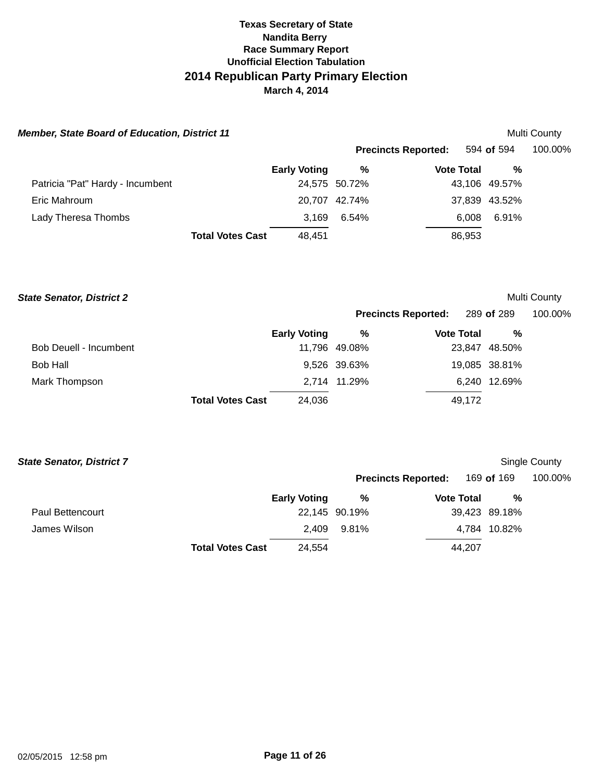| <b>Member, State Board of Education, District 11</b> |                         |                     |                            |                   |               | Multi County |
|------------------------------------------------------|-------------------------|---------------------|----------------------------|-------------------|---------------|--------------|
|                                                      |                         |                     | <b>Precincts Reported:</b> |                   | 594 of 594    | 100.00%      |
|                                                      |                         | <b>Early Voting</b> | %                          | <b>Vote Total</b> | %             |              |
| Patricia "Pat" Hardy - Incumbent                     |                         |                     | 24,575 50.72%              |                   | 43,106 49.57% |              |
| Eric Mahroum                                         |                         |                     | 20.707 42.74%              |                   | 37,839 43.52% |              |
| Lady Theresa Thombs                                  |                         | 3.169               | 6.54%                      | 6.008             | 6.91%         |              |
|                                                      | <b>Total Votes Cast</b> | 48,451              |                            | 86,953            |               |              |

#### **State Senator, District 2**

## Multi County

|                        |                         |                     | <b>Precincts Reported:</b> |                   | 289 of 289    | 100.00% |
|------------------------|-------------------------|---------------------|----------------------------|-------------------|---------------|---------|
|                        |                         | <b>Early Voting</b> | %                          | <b>Vote Total</b> | %             |         |
| Bob Deuell - Incumbent |                         |                     | 11,796 49.08%              |                   | 23,847 48.50% |         |
| <b>Bob Hall</b>        |                         |                     | 9,526 39.63%               |                   | 19,085 38.81% |         |
| Mark Thompson          |                         |                     | 2,714 11.29%               |                   | 6,240 12.69%  |         |
|                        | <b>Total Votes Cast</b> | 24,036              |                            | 49.172            |               |         |

| <b>State Senator, District 7</b> |                         |               |                            |                   |               | Single County |
|----------------------------------|-------------------------|---------------|----------------------------|-------------------|---------------|---------------|
|                                  |                         |               | <b>Precincts Reported:</b> |                   | 169 of 169    | 100.00%       |
|                                  | <b>Early Voting</b>     |               | %                          | <b>Vote Total</b> | %             |               |
| <b>Paul Bettencourt</b>          |                         | 22,145 90.19% |                            |                   | 39,423 89.18% |               |
| James Wilson                     |                         | 2.409         | 9.81%                      |                   | 4,784 10.82%  |               |
|                                  | <b>Total Votes Cast</b> | 24,554        |                            | 44,207            |               |               |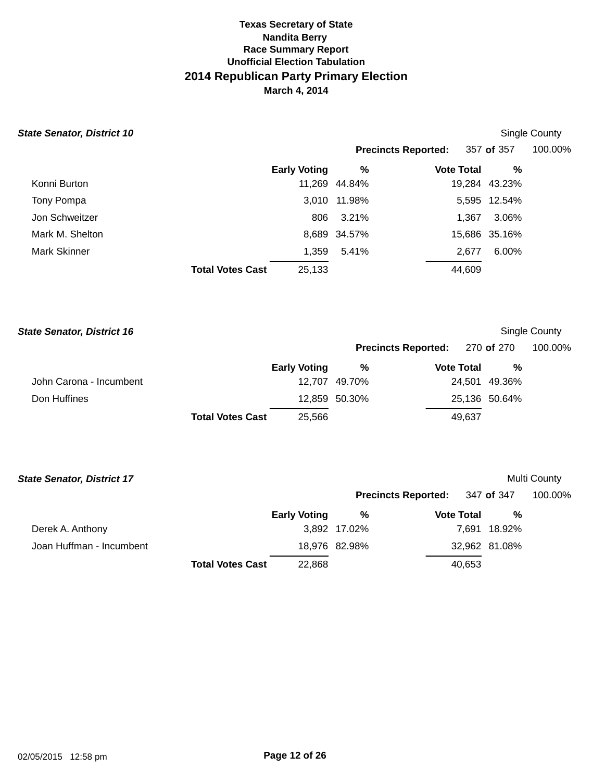#### **State Senator, District 10 Single County State Senator, District 10 Single County Single County**

|                 |                         |                     |               | <b>Precincts Reported:</b> | 357 of 357    | 100.00% |
|-----------------|-------------------------|---------------------|---------------|----------------------------|---------------|---------|
|                 |                         | <b>Early Voting</b> | %             | <b>Vote Total</b>          | %             |         |
| Konni Burton    |                         |                     | 11,269 44.84% |                            | 19,284 43.23% |         |
| Tony Pompa      |                         |                     | 3,010 11.98%  |                            | 5,595 12.54%  |         |
| Jon Schweitzer  |                         | 806                 | 3.21%         | 1,367                      | 3.06%         |         |
| Mark M. Shelton |                         |                     | 8,689 34.57%  |                            | 15,686 35.16% |         |
| Mark Skinner    |                         | 1,359               | 5.41%         | 2.677                      | 6.00%         |         |
|                 | <b>Total Votes Cast</b> | 25,133              |               | 44,609                     |               |         |

| <b>State Senator, District 16</b> |                         |                     |                            |  |                   |                   | Single County |
|-----------------------------------|-------------------------|---------------------|----------------------------|--|-------------------|-------------------|---------------|
|                                   |                         |                     | <b>Precincts Reported:</b> |  |                   | 270 <b>of</b> 270 | 100.00%       |
|                                   |                         | <b>Early Voting</b> | %                          |  | <b>Vote Total</b> | %                 |               |
| John Carona - Incumbent           |                         |                     | 12.707 49.70%              |  |                   | 24,501 49.36%     |               |
| Don Huffines                      |                         |                     | 12,859 50.30%              |  |                   | 25,136 50.64%     |               |
|                                   | <b>Total Votes Cast</b> | 25,566              |                            |  | 49,637            |                   |               |

| <b>State Senator, District 17</b> |                         |                     |               |                            |               | Multi County |
|-----------------------------------|-------------------------|---------------------|---------------|----------------------------|---------------|--------------|
|                                   |                         |                     |               | <b>Precincts Reported:</b> | 347 of 347    | 100.00%      |
|                                   |                         | <b>Early Voting</b> | %             | <b>Vote Total</b>          | %             |              |
| Derek A. Anthony                  |                         |                     | 3,892 17.02%  |                            | 7,691 18.92%  |              |
| Joan Huffman - Incumbent          |                         |                     | 18,976 82.98% |                            | 32,962 81.08% |              |
|                                   | <b>Total Votes Cast</b> | 22,868              |               | 40,653                     |               |              |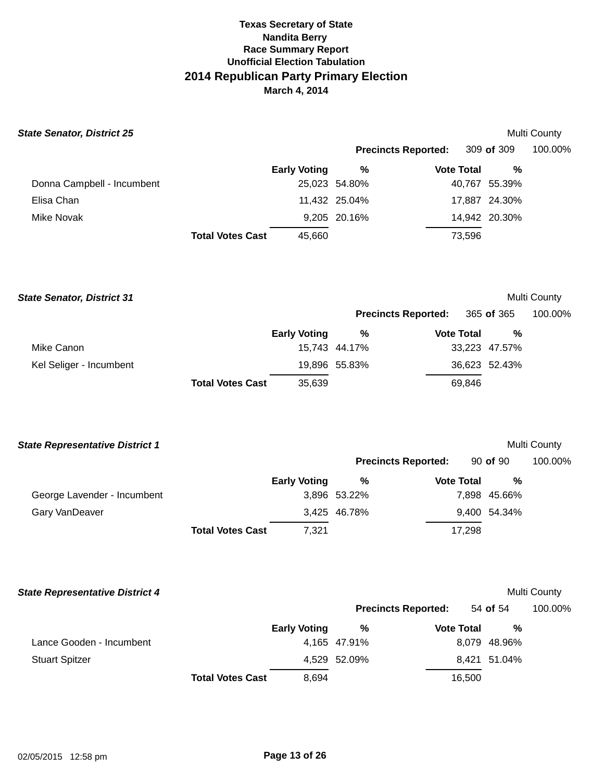| <b>State Senator, District 25</b> |                         |                     |               |                            |               | Multi County |
|-----------------------------------|-------------------------|---------------------|---------------|----------------------------|---------------|--------------|
|                                   |                         |                     |               | <b>Precincts Reported:</b> | 309 of 309    | 100.00%      |
|                                   |                         | <b>Early Voting</b> | %             | <b>Vote Total</b>          | %             |              |
| Donna Campbell - Incumbent        |                         |                     | 25,023 54.80% |                            | 40,767 55.39% |              |
| Elisa Chan                        |                         |                     | 11,432 25.04% |                            | 17,887 24.30% |              |
| Mike Novak                        |                         |                     | 9,205 20.16%  |                            | 14,942 20.30% |              |
|                                   | <b>Total Votes Cast</b> | 45.660              |               | 73,596                     |               |              |
|                                   |                         |                     |               |                            |               |              |

| <b>State Senator, District 31</b> |                         |                     |               |                            |                   |               | Multi County |
|-----------------------------------|-------------------------|---------------------|---------------|----------------------------|-------------------|---------------|--------------|
|                                   |                         |                     |               | <b>Precincts Reported:</b> |                   | 365 of 365    | 100.00%      |
|                                   |                         | <b>Early Voting</b> | %             |                            | <b>Vote Total</b> | %             |              |
| Mike Canon                        |                         |                     | 15.743 44.17% |                            |                   | 33,223 47.57% |              |
| Kel Seliger - Incumbent           |                         |                     | 19,896 55.83% |                            |                   | 36,623 52.43% |              |
|                                   | <b>Total Votes Cast</b> | 35,639              |               |                            | 69.846            |               |              |

| <b>State Representative District 1</b> |                         |                     |              |                            |              |   | Multi County |
|----------------------------------------|-------------------------|---------------------|--------------|----------------------------|--------------|---|--------------|
|                                        |                         |                     |              | <b>Precincts Reported:</b> | $90$ of $90$ |   | 100.00%      |
|                                        |                         | <b>Early Voting</b> | %            | <b>Vote Total</b>          |              | % |              |
| George Lavender - Incumbent            |                         |                     | 3,896 53.22% |                            | 7,898 45.66% |   |              |
| Gary VanDeaver                         |                         |                     | 3,425 46.78% |                            | 9,400 54.34% |   |              |
|                                        | <b>Total Votes Cast</b> | 7.321               |              | 17,298                     |              |   |              |

| <b>State Representative District 4</b> |                         |                     |              |                            |              | <b>Multi County</b> |
|----------------------------------------|-------------------------|---------------------|--------------|----------------------------|--------------|---------------------|
|                                        |                         |                     |              | <b>Precincts Reported:</b> | 54 of 54     | 100.00%             |
|                                        |                         | <b>Early Voting</b> | %            | <b>Vote Total</b>          | %            |                     |
| Lance Gooden - Incumbent               |                         |                     | 4,165 47.91% |                            | 8,079 48.96% |                     |
| <b>Stuart Spitzer</b>                  |                         |                     | 4,529 52.09% |                            | 8,421 51.04% |                     |
|                                        | <b>Total Votes Cast</b> | 8.694               |              | 16,500                     |              |                     |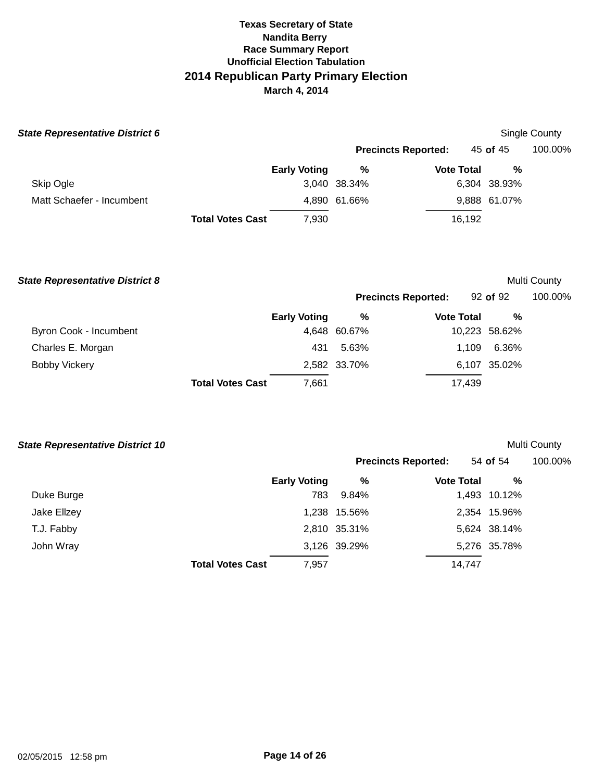| <b>State Representative District 6</b> |                         |                     |              |                            |              | Single County |
|----------------------------------------|-------------------------|---------------------|--------------|----------------------------|--------------|---------------|
|                                        |                         |                     |              | <b>Precincts Reported:</b> | 45 of 45     | 100.00%       |
|                                        |                         | <b>Early Voting</b> | %            | <b>Vote Total</b>          | %            |               |
| Skip Ogle                              |                         |                     | 3,040 38.34% |                            | 6,304 38.93% |               |
| Matt Schaefer - Incumbent              |                         |                     | 4,890 61.66% |                            | 9,888 61.07% |               |
|                                        | <b>Total Votes Cast</b> | 7,930               |              | 16,192                     |              |               |

**State Representative District 8 Multi County of the United State Representative District 8 Multi C** 

| Multi County |  |
|--------------|--|
|              |  |

| <b>Precincts Reported:</b> | $92$ of $92$ | 100.00% |
|----------------------------|--------------|---------|
|                            |              |         |

|                        |                         | <b>Early Voting</b> | %            | <b>Vote Total</b> | %             |
|------------------------|-------------------------|---------------------|--------------|-------------------|---------------|
| Byron Cook - Incumbent |                         |                     | 4,648 60.67% |                   | 10,223 58.62% |
| Charles E. Morgan      |                         | 431                 | 5.63%        | 1.109             | 6.36%         |
| <b>Bobby Vickery</b>   |                         |                     | 2,582 33.70% |                   | 6,107 35.02%  |
|                        | <b>Total Votes Cast</b> | 7,661               |              | 17.439            |               |

| <b>State Representative District 10</b> |  |
|-----------------------------------------|--|
|                                         |  |

**Multi County** 

| rate Hepresentative <i>Bistri</i> ot IV |                         |                     |              |                            |              | www.com |
|-----------------------------------------|-------------------------|---------------------|--------------|----------------------------|--------------|---------|
|                                         |                         |                     |              | <b>Precincts Reported:</b> | 54 of 54     | 100.00% |
|                                         |                         | <b>Early Voting</b> | %            | <b>Vote Total</b>          | %            |         |
| Duke Burge                              |                         | 783                 | 9.84%        |                            | 1,493 10.12% |         |
| Jake Ellzey                             |                         |                     | 1,238 15.56% |                            | 2,354 15.96% |         |
| T.J. Fabby                              |                         |                     | 2,810 35.31% |                            | 5,624 38.14% |         |
| John Wray                               |                         |                     | 3,126 39.29% |                            | 5,276 35.78% |         |
|                                         | <b>Total Votes Cast</b> | 7,957               |              | 14,747                     |              |         |
|                                         |                         |                     |              |                            |              |         |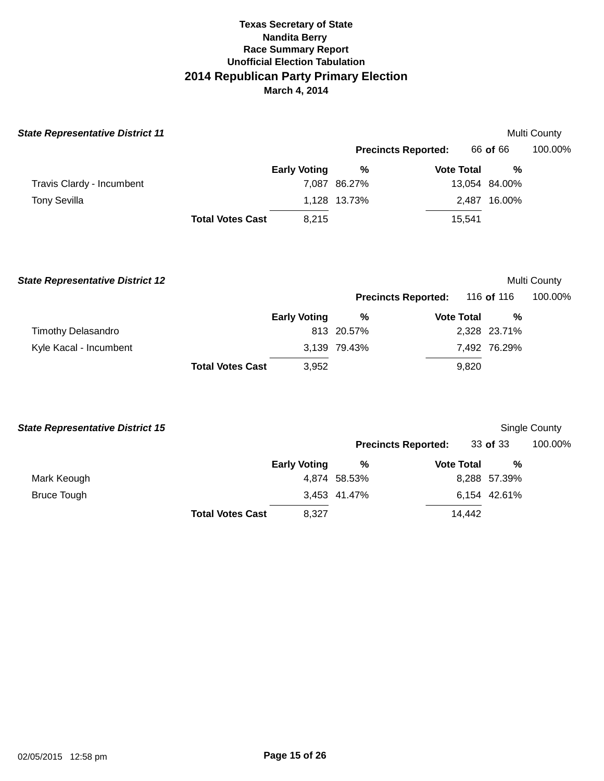| <b>State Representative District 11</b> |                         |                     |                            |                   |                   | Multi County        |
|-----------------------------------------|-------------------------|---------------------|----------------------------|-------------------|-------------------|---------------------|
|                                         |                         |                     | <b>Precincts Reported:</b> |                   | 66 of 66          | 100.00%             |
|                                         |                         | <b>Early Voting</b> | %                          | <b>Vote Total</b> | $\%$              |                     |
| Travis Clardy - Incumbent               |                         |                     | 7,087 86.27%               |                   | 13,054 84.00%     |                     |
| <b>Tony Sevilla</b>                     |                         |                     | 1,128 13.73%               |                   | 2,487 16.00%      |                     |
|                                         | <b>Total Votes Cast</b> | 8,215               |                            | 15,541            |                   |                     |
| <b>State Representative District 12</b> |                         |                     |                            |                   |                   | <b>Multi County</b> |
|                                         |                         |                     | <b>Precincts Reported:</b> |                   | 116 of 116        | 100.00%             |
| <b>Timothy Delasandro</b>               |                         | <b>Early Voting</b> | $\%$<br>813 20.57%         | <b>Vote Total</b> | %<br>2,328 23.71% |                     |
| Kyle Kacal - Incumbent                  |                         |                     | 3,139 79.43%               |                   | 7,492 76.29%      |                     |
|                                         | <b>Total Votes Cast</b> | 3,952               |                            | 9,820             |                   |                     |
| <b>State Representative District 15</b> |                         |                     |                            |                   |                   | Single County       |
|                                         |                         |                     | <b>Precincts Reported:</b> |                   | 33 of 33          | 100.00%             |
|                                         |                         | <b>Early Voting</b> | %                          | <b>Vote Total</b> | %                 |                     |
| Mark Keough                             |                         |                     | 4,874 58.53%               |                   | 8,288 57.39%      |                     |
| <b>Bruce Tough</b>                      |                         |                     | 3,453 41.47%               |                   | 6,154 42.61%      |                     |
|                                         | <b>Total Votes Cast</b> | 8,327               |                            | 14,442            |                   |                     |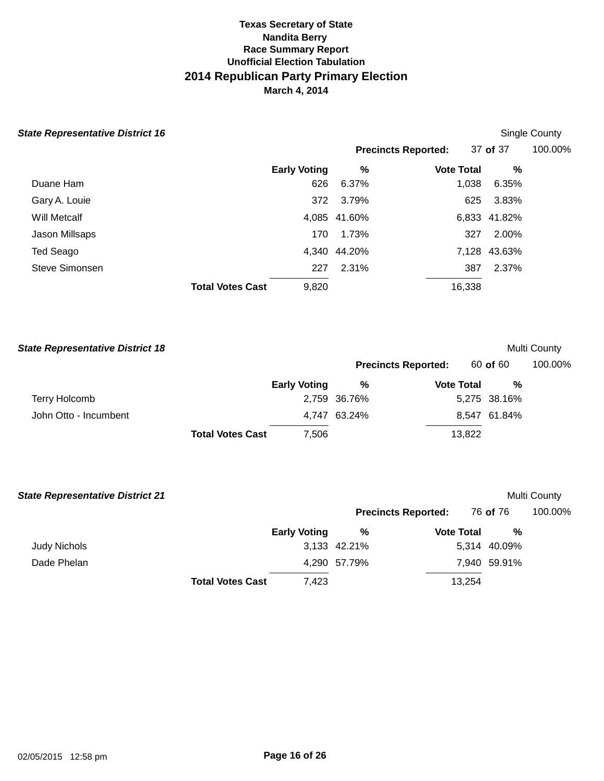| <b>State Representative District 16</b> |                         |                     |              |                            |              | Single County |
|-----------------------------------------|-------------------------|---------------------|--------------|----------------------------|--------------|---------------|
|                                         |                         |                     |              | <b>Precincts Reported:</b> | 37 of 37     | 100.00%       |
|                                         |                         | <b>Early Voting</b> | %            | <b>Vote Total</b>          | %            |               |
| Duane Ham                               |                         | 626                 | 6.37%        | 1,038                      | 6.35%        |               |
| Gary A. Louie                           |                         | 372                 | 3.79%        | 625                        | 3.83%        |               |
| Will Metcalf                            |                         |                     | 4,085 41.60% |                            | 6,833 41.82% |               |
| Jason Millsaps                          |                         | 170                 | 1.73%        | 327                        | 2.00%        |               |
| Ted Seago                               |                         |                     | 4,340 44.20% |                            | 7,128 43.63% |               |
| Steve Simonsen                          |                         | 227                 | 2.31%        | 387                        | 2.37%        |               |
|                                         | <b>Total Votes Cast</b> | 9,820               |              | 16,338                     |              |               |

| <b>State Representative District 18</b> |                         |                     |              |                            |                   |              | Multi County |
|-----------------------------------------|-------------------------|---------------------|--------------|----------------------------|-------------------|--------------|--------------|
|                                         |                         |                     |              | <b>Precincts Reported:</b> |                   | 60 of 60     | 100.00%      |
|                                         |                         | <b>Early Voting</b> | %            |                            | <b>Vote Total</b> | %            |              |
| <b>Terry Holcomb</b>                    |                         |                     | 2,759 36.76% |                            |                   | 5,275 38.16% |              |
| John Otto - Incumbent                   |                         |                     | 4.747 63.24% |                            |                   | 8,547 61.84% |              |
|                                         | <b>Total Votes Cast</b> | 7.506               |              |                            | 13,822            |              |              |

| <b>State Representative District 21</b> |                         |                     |              |                            |              |   | Multi County |
|-----------------------------------------|-------------------------|---------------------|--------------|----------------------------|--------------|---|--------------|
|                                         |                         |                     |              | <b>Precincts Reported:</b> | 76 of 76     |   | 100.00%      |
|                                         |                         | <b>Early Voting</b> | %            | <b>Vote Total</b>          |              | % |              |
| <b>Judy Nichols</b>                     |                         |                     | 3,133 42.21% |                            | 5,314 40.09% |   |              |
| Dade Phelan                             |                         |                     | 4,290 57.79% |                            | 7,940 59.91% |   |              |
|                                         | <b>Total Votes Cast</b> | 7.423               |              |                            | 13,254       |   |              |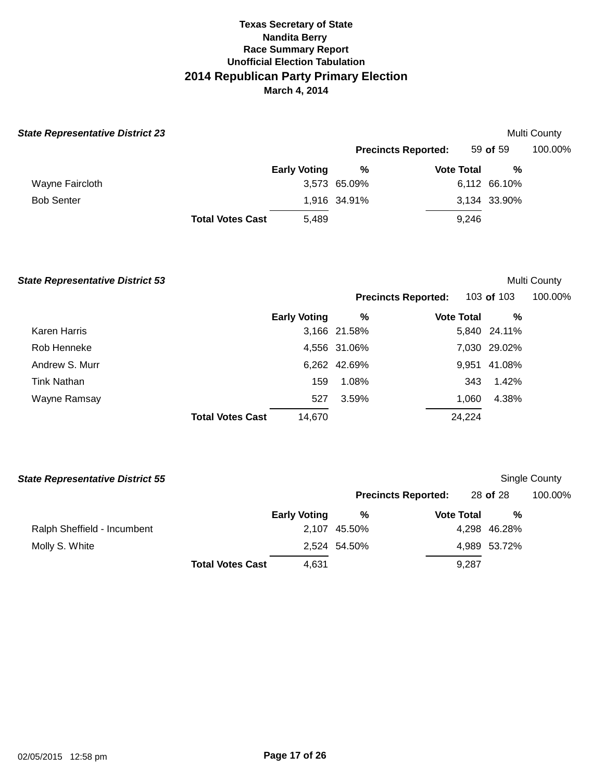| <b>State Representative District 23</b> |                         |                     |              |                            |              | Multi County |
|-----------------------------------------|-------------------------|---------------------|--------------|----------------------------|--------------|--------------|
|                                         |                         |                     |              | <b>Precincts Reported:</b> | 59 of 59     | 100.00%      |
|                                         |                         | <b>Early Voting</b> | %            | <b>Vote Total</b>          | %            |              |
| Wayne Faircloth                         |                         |                     | 3,573 65.09% |                            | 6,112 66.10% |              |
| <b>Bob Senter</b>                       |                         |                     | 1,916 34.91% |                            | 3,134 33.90% |              |
|                                         | <b>Total Votes Cast</b> | 5,489               |              | 9.246                      |              |              |

#### **State Representative District 53 Multi County Multi County Multi County**

Wayne Ramsay

|                |                     |              | <b>Precincts Reported:</b> 103 of 103 |              | 100.00% |  |
|----------------|---------------------|--------------|---------------------------------------|--------------|---------|--|
|                | <b>Early Voting</b> | %            | <b>Vote Total</b>                     | %            |         |  |
| Karen Harris   |                     | 3,166 21.58% |                                       | 5,840 24.11% |         |  |
| Rob Henneke    |                     | 4,556 31.06% |                                       | 7,030 29.02% |         |  |
| Andrew S. Murr |                     | 6,262 42.69% |                                       | 9,951 41.08% |         |  |
|                |                     |              |                                       |              |         |  |

3.59% 1,060 4.38%

24,224

**Total Votes Cast**  14,670

Tink Nathan 159 1.08% 343 1.42%

527

| <b>State Representative District 55</b> |                         |                     |              |                            |              | Single County |
|-----------------------------------------|-------------------------|---------------------|--------------|----------------------------|--------------|---------------|
|                                         |                         |                     |              | <b>Precincts Reported:</b> | 28 of 28     | 100.00%       |
|                                         |                         | <b>Early Voting</b> | %            | <b>Vote Total</b>          | %            |               |
| Ralph Sheffield - Incumbent             |                         |                     | 2.107 45.50% |                            | 4,298 46.28% |               |
| Molly S. White                          |                         |                     | 2,524 54.50% |                            | 4,989 53.72% |               |
|                                         | <b>Total Votes Cast</b> | 4,631               |              | 9.287                      |              |               |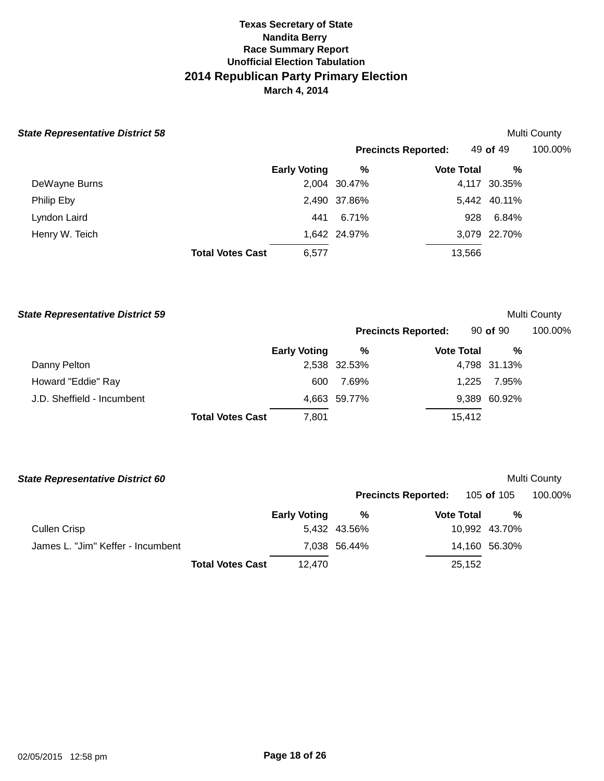#### **State Representative District 58**

|                |                         |                     |              | <b>Precincts Reported:</b> | 49 of 49     | 100.00% |
|----------------|-------------------------|---------------------|--------------|----------------------------|--------------|---------|
|                |                         | <b>Early Voting</b> | %            | <b>Vote Total</b>          | %            |         |
| DeWayne Burns  |                         |                     | 2,004 30.47% |                            | 4,117 30.35% |         |
| Philip Eby     |                         |                     | 2,490 37.86% |                            | 5,442 40.11% |         |
| Lyndon Laird   |                         | 441                 | 6.71%        |                            | 6.84%<br>928 |         |
| Henry W. Teich |                         |                     | 1,642 24.97% |                            | 3,079 22.70% |         |
|                | <b>Total Votes Cast</b> | 6.577               |              | 13,566                     |              |         |

| <b>State Representative District 59</b> |                     |              |                            |              | Multi County |
|-----------------------------------------|---------------------|--------------|----------------------------|--------------|--------------|
|                                         |                     |              | <b>Precincts Reported:</b> | $90$ of $90$ | 100.00%      |
|                                         | <b>Early Voting</b> | %            | <b>Vote Total</b>          | %            |              |
| Danny Pelton                            |                     | 2,538 32.53% |                            | 4,798 31.13% |              |
| Howard "Eddie" Ray                      | 600                 | 7.69%        | 1.225                      | 7.95%        |              |
| J.D. Sheffield - Incumbent              |                     | 4,663 59.77% |                            | 9,389 60.92% |              |
| <b>Total Votes Cast</b>                 | 7,801               |              | 15,412                     |              |              |

| <b>State Representative District 60</b> |                         |                     |              |                            |                   |                   | Multi County |
|-----------------------------------------|-------------------------|---------------------|--------------|----------------------------|-------------------|-------------------|--------------|
|                                         |                         |                     |              | <b>Precincts Reported:</b> |                   | 105 <b>of</b> 105 | 100.00%      |
|                                         |                         | <b>Early Voting</b> | %            |                            | <b>Vote Total</b> | %                 |              |
| <b>Cullen Crisp</b>                     |                         |                     | 5,432 43.56% |                            |                   | 10,992 43.70%     |              |
| James L. "Jim" Keffer - Incumbent       |                         |                     | 7.038 56.44% |                            |                   | 14,160 56.30%     |              |
|                                         | <b>Total Votes Cast</b> | 12.470              |              |                            | 25,152            |                   |              |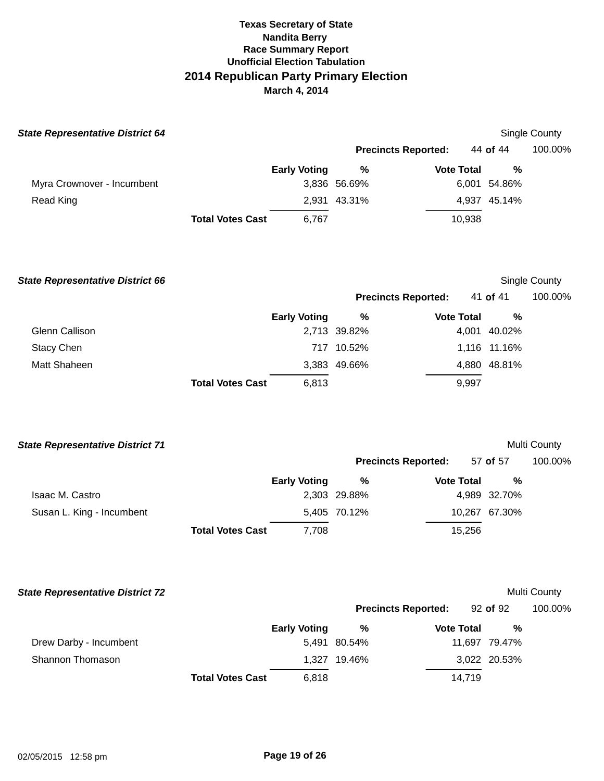| <b>State Representative District 64</b> |                                  |              |                            |              | Single County |
|-----------------------------------------|----------------------------------|--------------|----------------------------|--------------|---------------|
|                                         |                                  |              | <b>Precincts Reported:</b> | 44 of 44     | 100.00%       |
|                                         | <b>Early Voting</b>              | %            | <b>Vote Total</b>          | %            |               |
| Myra Crownover - Incumbent              |                                  | 3,836 56.69% |                            | 6,001 54.86% |               |
| Read King                               |                                  | 2,931 43.31% |                            | 4,937 45.14% |               |
|                                         | 6,767<br><b>Total Votes Cast</b> |              | 10,938                     |              |               |

**State Representative District 66 Single County Single County Single County Single County Precincts Reported:** 41 **of** 41 100.00% **Early Voting % Vote Total %**  Glenn Callison **2,713** 39.82% 4,001 40.02% Stacy Chen 717 10.52% 1,116 11.16% Matt Shaheen **Total Votes Cast**  3,383 49.66% 6,813 4,880 48.81% 9,997

| <b>State Representative District 71</b> |                         |                     |              |                            |                   |               | Multi County |
|-----------------------------------------|-------------------------|---------------------|--------------|----------------------------|-------------------|---------------|--------------|
|                                         |                         |                     |              | <b>Precincts Reported:</b> |                   | 57 of 57      | 100.00%      |
|                                         |                         | <b>Early Voting</b> | %            |                            | <b>Vote Total</b> | %             |              |
| Isaac M. Castro                         |                         |                     | 2,303 29.88% |                            |                   | 4,989 32.70%  |              |
| Susan L. King - Incumbent               |                         |                     | 5,405 70.12% |                            |                   | 10,267 67.30% |              |
|                                         | <b>Total Votes Cast</b> | 7,708               |              |                            | 15,256            |               |              |

| <b>State Representative District 72</b> |                         |                     |              |                            |               | Multi County |
|-----------------------------------------|-------------------------|---------------------|--------------|----------------------------|---------------|--------------|
|                                         |                         |                     |              | <b>Precincts Reported:</b> | 92 of 92      | 100.00%      |
|                                         |                         | <b>Early Voting</b> | %            | <b>Vote Total</b>          | %             |              |
| Drew Darby - Incumbent                  |                         |                     | 5.491 80.54% |                            | 11.697 79.47% |              |
| Shannon Thomason                        |                         | 1.327               | 19.46%       |                            | 3,022 20.53%  |              |
|                                         | <b>Total Votes Cast</b> | 6,818               |              | 14.719                     |               |              |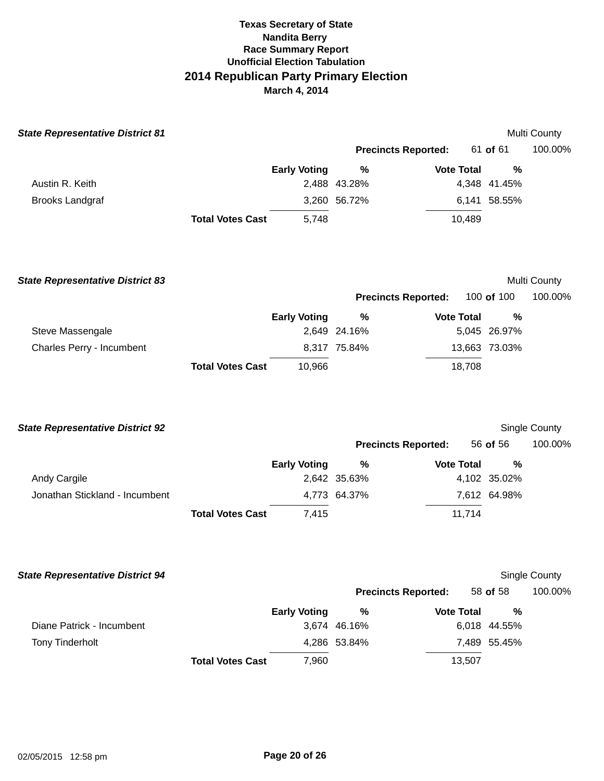| <b>State Representative District 81</b> |                         |                     |                            |                   |               | Multi County         |
|-----------------------------------------|-------------------------|---------------------|----------------------------|-------------------|---------------|----------------------|
|                                         |                         |                     | <b>Precincts Reported:</b> |                   | 61 of 61      | 100.00%              |
|                                         |                         | <b>Early Voting</b> | $\%$                       | <b>Vote Total</b> | %             |                      |
| Austin R. Keith                         |                         |                     | 2,488 43.28%               |                   | 4,348 41.45%  |                      |
| <b>Brooks Landgraf</b>                  |                         |                     | 3,260 56.72%               |                   | 6,141 58.55%  |                      |
|                                         | <b>Total Votes Cast</b> | 5,748               |                            | 10,489            |               |                      |
| <b>State Representative District 83</b> |                         |                     |                            |                   |               | Multi County         |
|                                         |                         |                     | <b>Precincts Reported:</b> |                   | 100 of 100    | 100.00%              |
|                                         |                         | <b>Early Voting</b> | %                          | <b>Vote Total</b> | %             |                      |
| Steve Massengale                        |                         |                     | 2,649 24.16%               |                   | 5,045 26.97%  |                      |
| Charles Perry - Incumbent               |                         |                     | 8,317 75.84%               |                   | 13,663 73.03% |                      |
|                                         | <b>Total Votes Cast</b> | 10,966              |                            | 18,708            |               |                      |
| <b>State Representative District 92</b> |                         |                     |                            |                   |               | Single County        |
|                                         |                         |                     | <b>Precincts Reported:</b> |                   | 56 of 56      | 100.00%              |
|                                         |                         | <b>Early Voting</b> | %                          | <b>Vote Total</b> | %             |                      |
| Andy Cargile                            |                         |                     | 2,642 35.63%               |                   | 4,102 35.02%  |                      |
| Jonathan Stickland - Incumbent          |                         |                     | 4,773 64.37%               |                   | 7,612 64.98%  |                      |
|                                         | <b>Total Votes Cast</b> | 7,415               |                            | 11,714            |               |                      |
| <b>State Representative District 94</b> |                         |                     |                            |                   |               | <b>Single County</b> |
|                                         |                         |                     | <b>Precincts Reported:</b> |                   | 58 of 58      | 100.00%              |
|                                         |                         | <b>Early Voting</b> | %                          | <b>Vote Total</b> | $\%$          |                      |
| Diane Patrick - Incumbent               |                         |                     | 3,674 46.16%               |                   | 6,018 44.55%  |                      |
| <b>Tony Tinderholt</b>                  |                         |                     | 4,286 53.84%               |                   | 7,489 55.45%  |                      |
|                                         | <b>Total Votes Cast</b> | 7,960               |                            | 13,507            |               |                      |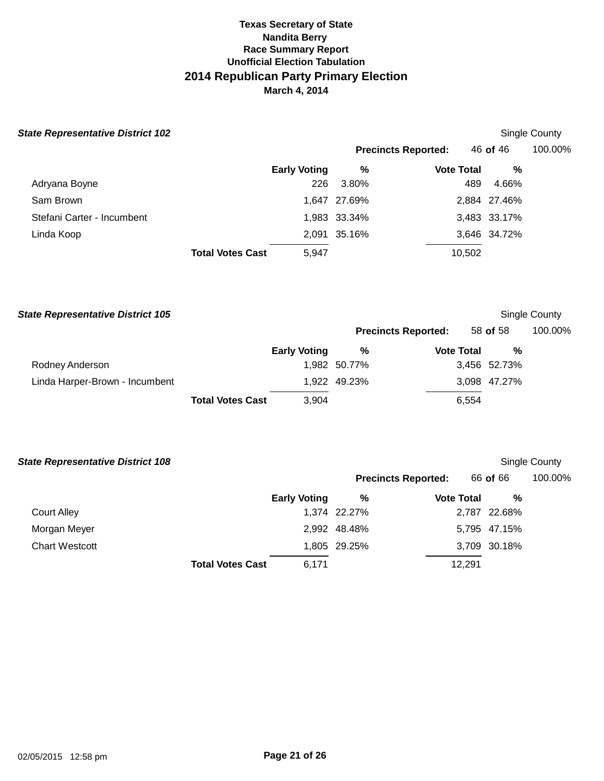|  | <b>State Representative District 102</b> |  |
|--|------------------------------------------|--|
|--|------------------------------------------|--|

# **Single County**

**Precincts Reported:** 46 **of** 46 100.00%

|                            |                         | <b>Early Voting</b> | %            | <b>Vote Total</b> | %            |
|----------------------------|-------------------------|---------------------|--------------|-------------------|--------------|
| Adryana Boyne              |                         | 226                 | 3.80%        | 489               | 4.66%        |
| Sam Brown                  |                         |                     | 1,647 27.69% |                   | 2,884 27.46% |
| Stefani Carter - Incumbent |                         |                     | 1,983 33.34% |                   | 3,483 33.17% |
| Linda Koop                 |                         |                     | 2,091 35.16% |                   | 3,646 34.72% |
|                            | <b>Total Votes Cast</b> | 5.947               |              | 10,502            |              |

| <b>State Representative District 105</b> |                         |                     |              |                            |              | Single County |
|------------------------------------------|-------------------------|---------------------|--------------|----------------------------|--------------|---------------|
|                                          |                         |                     |              | <b>Precincts Reported:</b> | 58 of 58     | 100.00%       |
|                                          |                         | <b>Early Voting</b> | %            | <b>Vote Total</b>          | %            |               |
| Rodney Anderson                          |                         |                     | 1,982 50.77% |                            | 3,456 52.73% |               |
| Linda Harper-Brown - Incumbent           |                         |                     | 1,922 49.23% |                            | 3,098 47.27% |               |
|                                          | <b>Total Votes Cast</b> | 3,904               |              | 6,554                      |              |               |

| <b>State Representative District 108</b> |                         |                     |              |                            | Single County |         |
|------------------------------------------|-------------------------|---------------------|--------------|----------------------------|---------------|---------|
|                                          |                         |                     |              | <b>Precincts Reported:</b> | 66 of 66      | 100.00% |
|                                          |                         | <b>Early Voting</b> | %            | <b>Vote Total</b>          | %             |         |
| <b>Court Alley</b>                       |                         |                     | 1,374 22.27% |                            | 2,787 22.68%  |         |
| Morgan Meyer                             |                         |                     | 2,992 48.48% |                            | 5,795 47.15%  |         |
| <b>Chart Westcott</b>                    |                         |                     | 1,805 29.25% |                            | 3,709 30.18%  |         |
|                                          | <b>Total Votes Cast</b> | 6,171               |              | 12,291                     |               |         |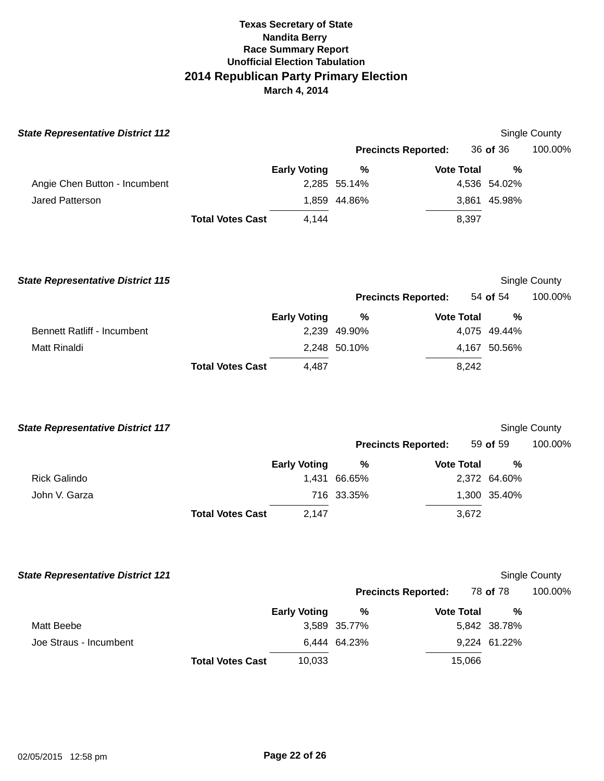| <b>State Representative District 112</b> |                         |                     |                            |                   |        |               | Single County |
|------------------------------------------|-------------------------|---------------------|----------------------------|-------------------|--------|---------------|---------------|
|                                          |                         |                     | <b>Precincts Reported:</b> |                   |        | 36 of 36      | 100.00%       |
|                                          |                         | <b>Early Voting</b> | $\%$                       | <b>Vote Total</b> |        | $\frac{0}{0}$ |               |
| Angie Chen Button - Incumbent            |                         |                     | 2,285 55.14%               |                   |        | 4,536 54.02%  |               |
| Jared Patterson                          |                         |                     | 1,859 44.86%               |                   |        | 3,861 45.98%  |               |
|                                          | <b>Total Votes Cast</b> | 4,144               |                            |                   | 8,397  |               |               |
| <b>State Representative District 115</b> |                         |                     |                            |                   |        |               | Single County |
|                                          |                         |                     | <b>Precincts Reported:</b> |                   |        | 54 of 54      | 100.00%       |
|                                          |                         | <b>Early Voting</b> | %                          | <b>Vote Total</b> |        | $\frac{0}{0}$ |               |
| <b>Bennett Ratliff - Incumbent</b>       |                         |                     | 2,239 49.90%               |                   |        | 4,075 49.44%  |               |
| <b>Matt Rinaldi</b>                      |                         |                     | 2,248 50.10%               |                   |        | 4,167 50.56%  |               |
|                                          | <b>Total Votes Cast</b> | 4,487               |                            |                   | 8,242  |               |               |
| <b>State Representative District 117</b> |                         |                     |                            |                   |        |               | Single County |
|                                          |                         |                     | <b>Precincts Reported:</b> |                   |        | 59 of 59      | 100.00%       |
|                                          |                         | <b>Early Voting</b> | %                          | <b>Vote Total</b> |        | $\%$          |               |
| <b>Rick Galindo</b>                      |                         |                     | 1,431 66.65%               |                   |        | 2,372 64.60%  |               |
| John V. Garza                            |                         |                     | 716 33.35%                 |                   |        | 1,300 35.40%  |               |
|                                          | <b>Total Votes Cast</b> | 2,147               |                            |                   | 3,672  |               |               |
| <b>State Representative District 121</b> |                         |                     |                            |                   |        |               | Single County |
|                                          |                         |                     | <b>Precincts Reported:</b> |                   |        | 78 of 78      | 100.00%       |
|                                          |                         | <b>Early Voting</b> | %                          | <b>Vote Total</b> |        | $\%$          |               |
| Matt Beebe                               |                         |                     | 3,589 35.77%               |                   |        | 5,842 38.78%  |               |
| Joe Straus - Incumbent                   |                         |                     | 6,444 64.23%               |                   |        | 9,224 61.22%  |               |
|                                          | <b>Total Votes Cast</b> | 10,033              |                            |                   | 15,066 |               |               |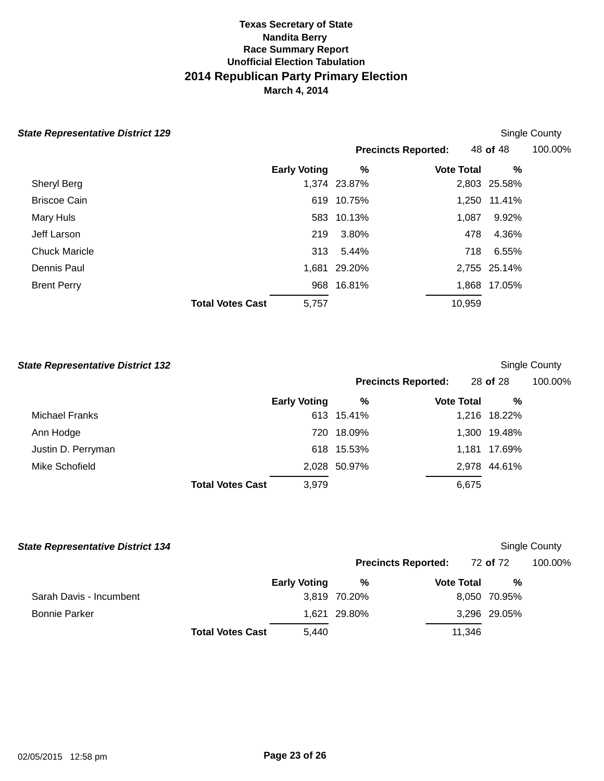| <b>State Representative District 129</b> |                         |       |                            |                   |              | Single County |
|------------------------------------------|-------------------------|-------|----------------------------|-------------------|--------------|---------------|
|                                          |                         |       | <b>Precincts Reported:</b> |                   | 48 of 48     | 100.00%       |
|                                          | <b>Early Voting</b>     |       | %                          | <b>Vote Total</b> | %            |               |
| Sheryl Berg                              |                         |       | 1,374 23.87%               |                   | 2,803 25.58% |               |
| <b>Briscoe Cain</b>                      |                         |       | 619 10.75%                 | 1,250             | 11.41%       |               |
| Mary Huls                                |                         |       | 583 10.13%                 | 1,087             | 9.92%        |               |
| Jeff Larson                              |                         | 219   | 3.80%                      | 478               | 4.36%        |               |
| <b>Chuck Maricle</b>                     |                         | 313   | 5.44%                      | 718               | 6.55%        |               |
| Dennis Paul                              |                         |       | 1,681 29.20%               |                   | 2,755 25.14% |               |
| <b>Brent Perry</b>                       |                         |       | 968 16.81%                 |                   | 1,868 17.05% |               |
|                                          | <b>Total Votes Cast</b> | 5,757 |                            | 10,959            |              |               |

| <b>State Representative District 132</b> |                         |                     |              |                            |              | Single County |
|------------------------------------------|-------------------------|---------------------|--------------|----------------------------|--------------|---------------|
|                                          |                         |                     |              | <b>Precincts Reported:</b> | 28 of 28     | 100.00%       |
|                                          |                         | <b>Early Voting</b> | %            | <b>Vote Total</b>          | %            |               |
| Michael Franks                           |                         |                     | 613 15.41%   |                            | 1,216 18.22% |               |
| Ann Hodge                                |                         | 720                 | 18.09%       |                            | 1,300 19.48% |               |
| Justin D. Perryman                       |                         |                     | 618 15.53%   |                            | 1,181 17.69% |               |
| Mike Schofield                           |                         |                     | 2,028 50.97% |                            | 2,978 44.61% |               |
|                                          | <b>Total Votes Cast</b> | 3,979               |              | 6,675                      |              |               |

| <b>State Representative District 134</b> |                         |                     |                            |                   |        |                 | Single County |
|------------------------------------------|-------------------------|---------------------|----------------------------|-------------------|--------|-----------------|---------------|
|                                          |                         |                     | <b>Precincts Reported:</b> |                   |        | 72 <b>of</b> 72 | 100.00%       |
|                                          |                         | <b>Early Voting</b> | %                          | <b>Vote Total</b> |        | %               |               |
| Sarah Davis - Incumbent                  |                         |                     | 3,819 70.20%               |                   |        | 8,050 70.95%    |               |
| <b>Bonnie Parker</b>                     |                         |                     | 1.621 29.80%               |                   |        | 3,296 29.05%    |               |
|                                          | <b>Total Votes Cast</b> | 5,440               |                            |                   | 11,346 |                 |               |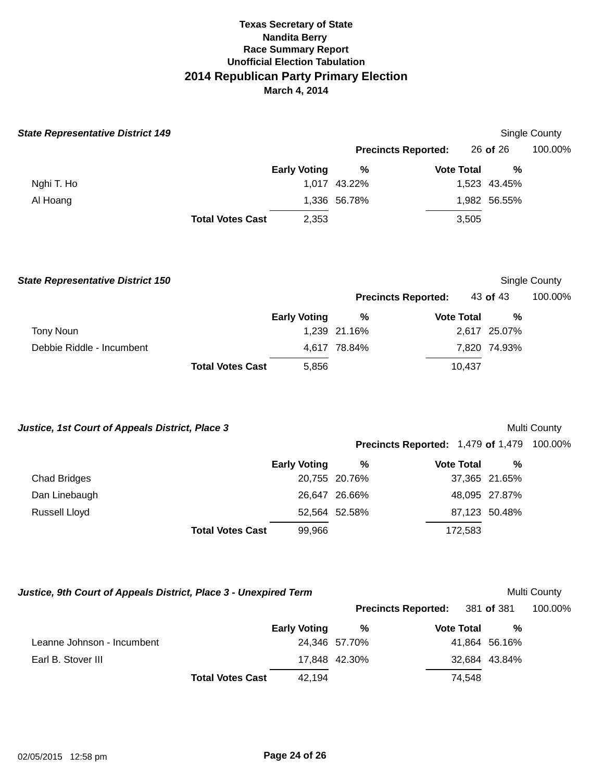| <b>State Representative District 149</b>                         |                         |                     |               |                                                   |               | Single County |
|------------------------------------------------------------------|-------------------------|---------------------|---------------|---------------------------------------------------|---------------|---------------|
|                                                                  |                         |                     |               | <b>Precincts Reported:</b>                        | 26 of 26      | 100.00%       |
|                                                                  |                         | <b>Early Voting</b> | $\%$          | <b>Vote Total</b>                                 | %             |               |
| Nghi T. Ho                                                       |                         |                     | 1,017 43.22%  |                                                   | 1,523 43.45%  |               |
| Al Hoang                                                         |                         |                     | 1,336 56.78%  |                                                   | 1,982 56.55%  |               |
|                                                                  | <b>Total Votes Cast</b> | 2,353               |               | 3,505                                             |               |               |
| <b>State Representative District 150</b>                         |                         |                     |               |                                                   |               | Single County |
|                                                                  |                         |                     |               | <b>Precincts Reported:</b>                        | 43 of 43      | 100.00%       |
|                                                                  |                         | <b>Early Voting</b> | $\%$          | <b>Vote Total</b>                                 | %             |               |
| <b>Tony Noun</b>                                                 |                         |                     | 1,239 21.16%  |                                                   | 2,617 25.07%  |               |
| Debbie Riddle - Incumbent                                        |                         |                     | 4,617 78.84%  |                                                   | 7,820 74.93%  |               |
|                                                                  | <b>Total Votes Cast</b> | 5,856               |               | 10,437                                            |               |               |
| Justice, 1st Court of Appeals District, Place 3                  |                         |                     |               |                                                   |               | Multi County  |
|                                                                  |                         |                     |               | <b>Precincts Reported: 1,479 of 1,479 100.00%</b> |               |               |
|                                                                  |                         | <b>Early Voting</b> | $\%$          | <b>Vote Total</b>                                 | %             |               |
| <b>Chad Bridges</b>                                              |                         |                     | 20,755 20.76% |                                                   | 37,365 21.65% |               |
| Dan Linebaugh                                                    |                         |                     | 26,647 26.66% |                                                   | 48,095 27.87% |               |
| Russell Lloyd                                                    |                         |                     | 52,564 52.58% |                                                   | 87,123 50.48% |               |
|                                                                  | <b>Total Votes Cast</b> | 99,966              |               | 172,583                                           |               |               |
|                                                                  |                         |                     |               |                                                   |               |               |
| Justice, 9th Court of Appeals District, Place 3 - Unexpired Term |                         |                     |               |                                                   |               | Multi County  |

|                            |                         |                     | <b>Precincts Reported:</b> 381 of 381 |                   |               | 100.00% |
|----------------------------|-------------------------|---------------------|---------------------------------------|-------------------|---------------|---------|
|                            |                         | <b>Early Voting</b> | %                                     | <b>Vote Total</b> | %             |         |
| Leanne Johnson - Incumbent |                         |                     | 24,346 57.70%                         |                   | 41,864 56.16% |         |
| Earl B. Stover III         |                         |                     | 17.848 42.30%                         |                   | 32,684 43.84% |         |
|                            | <b>Total Votes Cast</b> | 42.194              |                                       | 74.548            |               |         |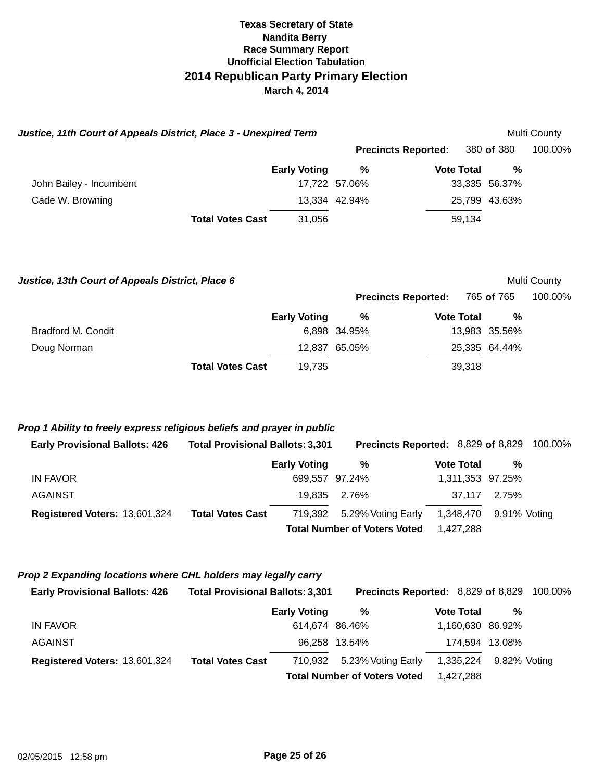| Justice, 11th Court of Appeals District, Place 3 - Unexpired Term                                                                                                                      |                                                                    |                                          |                                                                                                                                 |                                                       |                                                   | Multi County |
|----------------------------------------------------------------------------------------------------------------------------------------------------------------------------------------|--------------------------------------------------------------------|------------------------------------------|---------------------------------------------------------------------------------------------------------------------------------|-------------------------------------------------------|---------------------------------------------------|--------------|
|                                                                                                                                                                                        |                                                                    |                                          | <b>Precincts Reported:</b>                                                                                                      |                                                       | 380 of 380                                        | 100.00%      |
|                                                                                                                                                                                        |                                                                    | <b>Early Voting</b>                      | %                                                                                                                               | <b>Vote Total</b>                                     | %                                                 |              |
| John Bailey - Incumbent                                                                                                                                                                |                                                                    |                                          | 17,722 57.06%                                                                                                                   |                                                       | 33,335 56.37%                                     |              |
| Cade W. Browning                                                                                                                                                                       |                                                                    |                                          | 13,334 42.94%                                                                                                                   |                                                       | 25,799 43.63%                                     |              |
|                                                                                                                                                                                        | <b>Total Votes Cast</b>                                            | 31,056                                   |                                                                                                                                 | 59,134                                                |                                                   |              |
| Justice, 13th Court of Appeals District, Place 6                                                                                                                                       |                                                                    |                                          |                                                                                                                                 |                                                       |                                                   | Multi County |
|                                                                                                                                                                                        |                                                                    |                                          | <b>Precincts Reported:</b>                                                                                                      |                                                       | 765 of 765                                        | 100.00%      |
| <b>Bradford M. Condit</b>                                                                                                                                                              |                                                                    | <b>Early Voting</b>                      | %<br>6,898 34.95%                                                                                                               | <b>Vote Total</b>                                     | %<br>13,983 35.56%                                |              |
| Doug Norman                                                                                                                                                                            |                                                                    |                                          | 12,837 65.05%                                                                                                                   |                                                       | 25,335 64.44%                                     |              |
|                                                                                                                                                                                        | <b>Total Votes Cast</b>                                            | 19,735                                   |                                                                                                                                 | 39,318                                                |                                                   |              |
| Prop 1 Ability to freely express religious beliefs and prayer in public<br><b>Early Provisional Ballots: 426</b><br><b>IN FAVOR</b><br><b>AGAINST</b><br>Registered Voters: 13,601,324 | <b>Total Provisional Ballots: 3,301</b><br><b>Total Votes Cast</b> | <b>Early Voting</b><br>19,835<br>719,392 | Precincts Reported: 8,829 of 8,829<br>%<br>699,557 97.24%<br>2.76%<br>5.29% Voting Early<br><b>Total Number of Voters Voted</b> | <b>Vote Total</b><br>37,117<br>1,348,470<br>1,427,288 | $\%$<br>1,311,353 97.25%<br>2.75%<br>9.91% Voting | 100.00%      |
| Prop 2 Expanding locations where CHL holders may legally carry<br><b>Early Provisional Ballots: 426</b>                                                                                | <b>Total Provisional Ballots: 3,301</b>                            |                                          | Precincts Reported: 8,829 of 8,829                                                                                              |                                                       |                                                   | 100.00%      |
|                                                                                                                                                                                        |                                                                    | <b>Early Voting</b>                      | %                                                                                                                               | <b>Vote Total</b>                                     | %                                                 |              |
| <b>IN FAVOR</b>                                                                                                                                                                        |                                                                    | 614,674 86.46%                           |                                                                                                                                 |                                                       | 1,160,630 86.92%                                  |              |
| <b>AGAINST</b>                                                                                                                                                                         |                                                                    |                                          | 96,258 13.54%                                                                                                                   |                                                       | 174,594 13.08%                                    |              |
| Registered Voters: 13,601,324                                                                                                                                                          | <b>Total Votes Cast</b>                                            | 710,932                                  | 5.23% Voting Early<br><b>Total Number of Voters Voted</b>                                                                       | 1,335,224                                             | 9.82% Voting                                      |              |
|                                                                                                                                                                                        |                                                                    |                                          |                                                                                                                                 | 1,427,288                                             |                                                   |              |